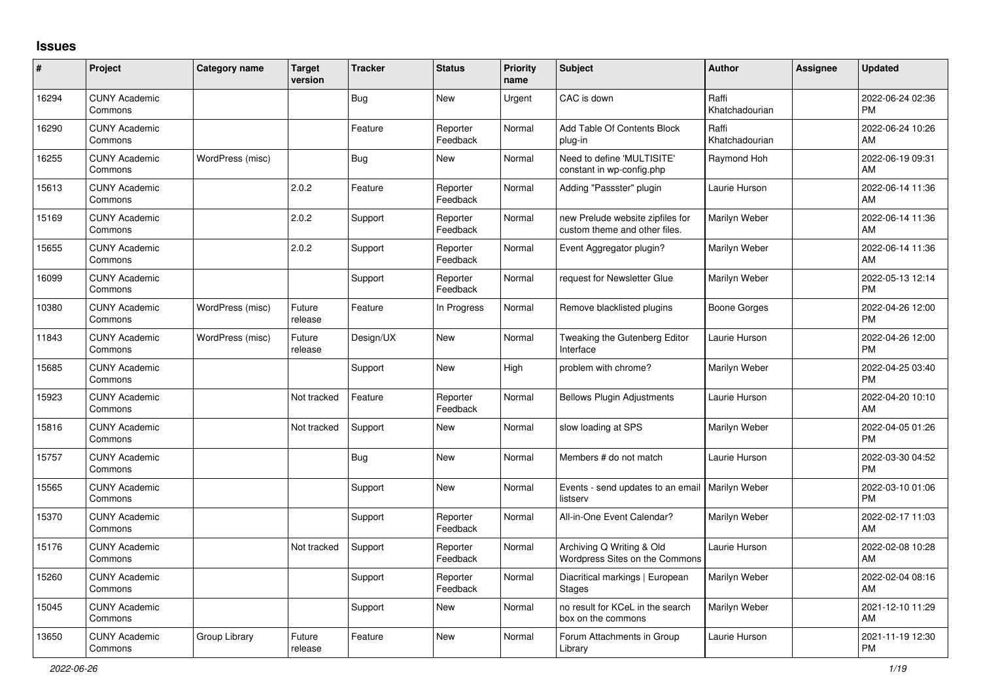## **Issues**

| ∦     | Project                         | <b>Category name</b> | <b>Target</b><br>version | <b>Tracker</b> | <b>Status</b>        | <b>Priority</b><br>name | <b>Subject</b>                                                    | Author                  | Assignee | <b>Updated</b>                |
|-------|---------------------------------|----------------------|--------------------------|----------------|----------------------|-------------------------|-------------------------------------------------------------------|-------------------------|----------|-------------------------------|
| 16294 | <b>CUNY Academic</b><br>Commons |                      |                          | Bug            | <b>New</b>           | Urgent                  | CAC is down                                                       | Raffi<br>Khatchadourian |          | 2022-06-24 02:36<br><b>PM</b> |
| 16290 | <b>CUNY Academic</b><br>Commons |                      |                          | Feature        | Reporter<br>Feedback | Normal                  | Add Table Of Contents Block<br>plug-in                            | Raffi<br>Khatchadourian |          | 2022-06-24 10:26<br>AM        |
| 16255 | <b>CUNY Academic</b><br>Commons | WordPress (misc)     |                          | Bug            | <b>New</b>           | Normal                  | Need to define 'MULTISITE'<br>constant in wp-config.php           | Raymond Hoh             |          | 2022-06-19 09:31<br>AM        |
| 15613 | <b>CUNY Academic</b><br>Commons |                      | 2.0.2                    | Feature        | Reporter<br>Feedback | Normal                  | Adding "Passster" plugin                                          | Laurie Hurson           |          | 2022-06-14 11:36<br>AM        |
| 15169 | <b>CUNY Academic</b><br>Commons |                      | 2.0.2                    | Support        | Reporter<br>Feedback | Normal                  | new Prelude website zipfiles for<br>custom theme and other files. | Marilyn Weber           |          | 2022-06-14 11:36<br>AM        |
| 15655 | <b>CUNY Academic</b><br>Commons |                      | 2.0.2                    | Support        | Reporter<br>Feedback | Normal                  | Event Aggregator plugin?                                          | Marilyn Weber           |          | 2022-06-14 11:36<br>AM        |
| 16099 | <b>CUNY Academic</b><br>Commons |                      |                          | Support        | Reporter<br>Feedback | Normal                  | request for Newsletter Glue                                       | Marilyn Weber           |          | 2022-05-13 12:14<br><b>PM</b> |
| 10380 | <b>CUNY Academic</b><br>Commons | WordPress (misc)     | Future<br>release        | Feature        | In Progress          | Normal                  | Remove blacklisted plugins                                        | Boone Gorges            |          | 2022-04-26 12:00<br><b>PM</b> |
| 11843 | <b>CUNY Academic</b><br>Commons | WordPress (misc)     | Future<br>release        | Design/UX      | <b>New</b>           | Normal                  | Tweaking the Gutenberg Editor<br>Interface                        | Laurie Hurson           |          | 2022-04-26 12:00<br><b>PM</b> |
| 15685 | <b>CUNY Academic</b><br>Commons |                      |                          | Support        | <b>New</b>           | High                    | problem with chrome?                                              | Marilyn Weber           |          | 2022-04-25 03:40<br><b>PM</b> |
| 15923 | <b>CUNY Academic</b><br>Commons |                      | Not tracked              | Feature        | Reporter<br>Feedback | Normal                  | <b>Bellows Plugin Adjustments</b>                                 | Laurie Hurson           |          | 2022-04-20 10:10<br>AM        |
| 15816 | <b>CUNY Academic</b><br>Commons |                      | Not tracked              | Support        | <b>New</b>           | Normal                  | slow loading at SPS                                               | Marilyn Weber           |          | 2022-04-05 01:26<br><b>PM</b> |
| 15757 | <b>CUNY Academic</b><br>Commons |                      |                          | <b>Bug</b>     | <b>New</b>           | Normal                  | Members # do not match                                            | Laurie Hurson           |          | 2022-03-30 04:52<br><b>PM</b> |
| 15565 | <b>CUNY Academic</b><br>Commons |                      |                          | Support        | <b>New</b>           | Normal                  | Events - send updates to an email   Marilyn Weber<br>listserv     |                         |          | 2022-03-10 01:06<br><b>PM</b> |
| 15370 | <b>CUNY Academic</b><br>Commons |                      |                          | Support        | Reporter<br>Feedback | Normal                  | All-in-One Event Calendar?                                        | Marilyn Weber           |          | 2022-02-17 11:03<br>AM        |
| 15176 | <b>CUNY Academic</b><br>Commons |                      | Not tracked              | Support        | Reporter<br>Feedback | Normal                  | Archiving Q Writing & Old<br>Wordpress Sites on the Commons       | Laurie Hurson           |          | 2022-02-08 10:28<br>AM        |
| 15260 | <b>CUNY Academic</b><br>Commons |                      |                          | Support        | Reporter<br>Feedback | Normal                  | Diacritical markings   European<br><b>Stages</b>                  | Marilyn Weber           |          | 2022-02-04 08:16<br>AM        |
| 15045 | <b>CUNY Academic</b><br>Commons |                      |                          | Support        | <b>New</b>           | Normal                  | no result for KCeL in the search<br>box on the commons            | Marilyn Weber           |          | 2021-12-10 11:29<br>AM        |
| 13650 | <b>CUNY Academic</b><br>Commons | Group Library        | Future<br>release        | Feature        | <b>New</b>           | Normal                  | Forum Attachments in Group<br>Library                             | Laurie Hurson           |          | 2021-11-19 12:30<br><b>PM</b> |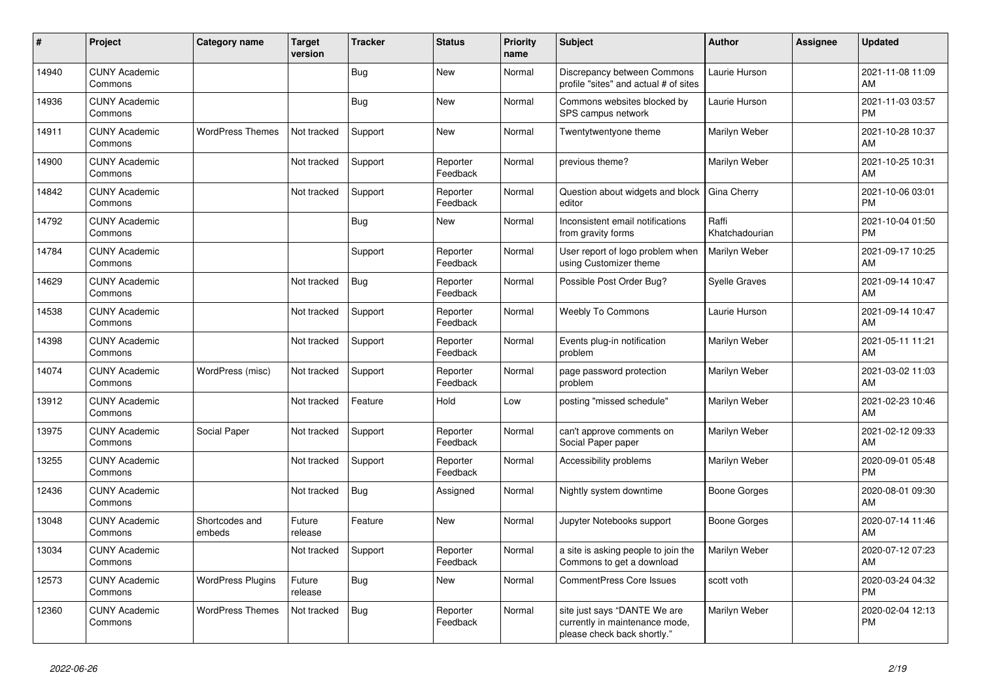| #     | <b>Project</b>                  | <b>Category name</b>     | <b>Target</b><br>version | Tracker    | <b>Status</b>        | <b>Priority</b><br>name | <b>Subject</b>                                                                                | <b>Author</b>           | Assignee | <b>Updated</b>                |
|-------|---------------------------------|--------------------------|--------------------------|------------|----------------------|-------------------------|-----------------------------------------------------------------------------------------------|-------------------------|----------|-------------------------------|
| 14940 | <b>CUNY Academic</b><br>Commons |                          |                          | <b>Bug</b> | <b>New</b>           | Normal                  | Discrepancy between Commons<br>profile "sites" and actual # of sites                          | Laurie Hurson           |          | 2021-11-08 11:09<br>AM        |
| 14936 | <b>CUNY Academic</b><br>Commons |                          |                          | <b>Bug</b> | New                  | Normal                  | Commons websites blocked by<br>SPS campus network                                             | Laurie Hurson           |          | 2021-11-03 03:57<br><b>PM</b> |
| 14911 | <b>CUNY Academic</b><br>Commons | <b>WordPress Themes</b>  | Not tracked              | Support    | <b>New</b>           | Normal                  | Twentytwentyone theme                                                                         | Marilyn Weber           |          | 2021-10-28 10:37<br>AM        |
| 14900 | <b>CUNY Academic</b><br>Commons |                          | Not tracked              | Support    | Reporter<br>Feedback | Normal                  | previous theme?                                                                               | Marilyn Weber           |          | 2021-10-25 10:31<br>AM        |
| 14842 | <b>CUNY Academic</b><br>Commons |                          | Not tracked              | Support    | Reporter<br>Feedback | Normal                  | Question about widgets and block<br>editor                                                    | Gina Cherry             |          | 2021-10-06 03:01<br><b>PM</b> |
| 14792 | <b>CUNY Academic</b><br>Commons |                          |                          | Bug        | <b>New</b>           | Normal                  | Inconsistent email notifications<br>from gravity forms                                        | Raffi<br>Khatchadourian |          | 2021-10-04 01:50<br><b>PM</b> |
| 14784 | <b>CUNY Academic</b><br>Commons |                          |                          | Support    | Reporter<br>Feedback | Normal                  | User report of logo problem when<br>using Customizer theme                                    | Marilyn Weber           |          | 2021-09-17 10:25<br>AM        |
| 14629 | <b>CUNY Academic</b><br>Commons |                          | Not tracked              | Bug        | Reporter<br>Feedback | Normal                  | Possible Post Order Bug?                                                                      | <b>Syelle Graves</b>    |          | 2021-09-14 10:47<br>AM        |
| 14538 | <b>CUNY Academic</b><br>Commons |                          | Not tracked              | Support    | Reporter<br>Feedback | Normal                  | <b>Weebly To Commons</b>                                                                      | Laurie Hurson           |          | 2021-09-14 10:47<br>AM        |
| 14398 | <b>CUNY Academic</b><br>Commons |                          | Not tracked              | Support    | Reporter<br>Feedback | Normal                  | Events plug-in notification<br>problem                                                        | Marilyn Weber           |          | 2021-05-11 11:21<br>AM        |
| 14074 | <b>CUNY Academic</b><br>Commons | WordPress (misc)         | Not tracked              | Support    | Reporter<br>Feedback | Normal                  | page password protection<br>problem                                                           | Marilyn Weber           |          | 2021-03-02 11:03<br>AM        |
| 13912 | <b>CUNY Academic</b><br>Commons |                          | Not tracked              | Feature    | Hold                 | Low                     | posting "missed schedule"                                                                     | Marilyn Weber           |          | 2021-02-23 10:46<br>AM        |
| 13975 | <b>CUNY Academic</b><br>Commons | Social Paper             | Not tracked              | Support    | Reporter<br>Feedback | Normal                  | can't approve comments on<br>Social Paper paper                                               | Marilyn Weber           |          | 2021-02-12 09:33<br>AM        |
| 13255 | <b>CUNY Academic</b><br>Commons |                          | Not tracked              | Support    | Reporter<br>Feedback | Normal                  | Accessibility problems                                                                        | Marilyn Weber           |          | 2020-09-01 05:48<br><b>PM</b> |
| 12436 | <b>CUNY Academic</b><br>Commons |                          | Not tracked              | Bug        | Assigned             | Normal                  | Nightly system downtime                                                                       | <b>Boone Gorges</b>     |          | 2020-08-01 09:30<br>AM        |
| 13048 | <b>CUNY Academic</b><br>Commons | Shortcodes and<br>embeds | Future<br>release        | Feature    | New                  | Normal                  | Jupyter Notebooks support                                                                     | Boone Gorges            |          | 2020-07-14 11:46<br>AM        |
| 13034 | <b>CUNY Academic</b><br>Commons |                          | Not tracked              | Support    | Reporter<br>Feedback | Normal                  | a site is asking people to join the<br>Commons to get a download                              | Marilyn Weber           |          | 2020-07-12 07:23<br>AM        |
| 12573 | <b>CUNY Academic</b><br>Commons | <b>WordPress Plugins</b> | Future<br>release        | Bug        | <b>New</b>           | Normal                  | CommentPress Core Issues                                                                      | scott voth              |          | 2020-03-24 04:32<br><b>PM</b> |
| 12360 | <b>CUNY Academic</b><br>Commons | <b>WordPress Themes</b>  | Not tracked              | <b>Bug</b> | Reporter<br>Feedback | Normal                  | site just says "DANTE We are<br>currently in maintenance mode,<br>please check back shortly." | Marilyn Weber           |          | 2020-02-04 12:13<br><b>PM</b> |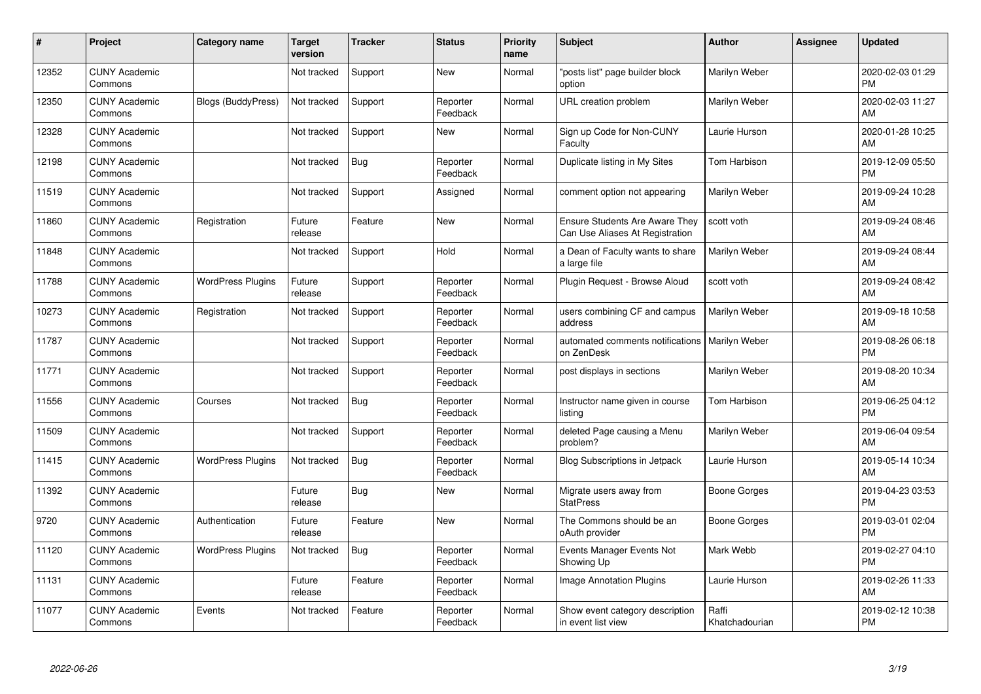| #     | Project                         | <b>Category name</b>      | <b>Target</b><br>version | <b>Tracker</b> | <b>Status</b>        | <b>Priority</b><br>name | <b>Subject</b>                                                           | Author                  | <b>Assignee</b> | <b>Updated</b>                |
|-------|---------------------------------|---------------------------|--------------------------|----------------|----------------------|-------------------------|--------------------------------------------------------------------------|-------------------------|-----------------|-------------------------------|
| 12352 | <b>CUNY Academic</b><br>Commons |                           | Not tracked              | Support        | <b>New</b>           | Normal                  | "posts list" page builder block<br>option                                | Marilyn Weber           |                 | 2020-02-03 01:29<br><b>PM</b> |
| 12350 | <b>CUNY Academic</b><br>Commons | <b>Blogs (BuddyPress)</b> | Not tracked              | Support        | Reporter<br>Feedback | Normal                  | URL creation problem                                                     | Marilyn Weber           |                 | 2020-02-03 11:27<br>AM        |
| 12328 | <b>CUNY Academic</b><br>Commons |                           | Not tracked              | Support        | <b>New</b>           | Normal                  | Sign up Code for Non-CUNY<br>Faculty                                     | Laurie Hurson           |                 | 2020-01-28 10:25<br>AM        |
| 12198 | <b>CUNY Academic</b><br>Commons |                           | Not tracked              | <b>Bug</b>     | Reporter<br>Feedback | Normal                  | Duplicate listing in My Sites                                            | Tom Harbison            |                 | 2019-12-09 05:50<br><b>PM</b> |
| 11519 | <b>CUNY Academic</b><br>Commons |                           | Not tracked              | Support        | Assigned             | Normal                  | comment option not appearing                                             | Marilyn Weber           |                 | 2019-09-24 10:28<br>AM        |
| 11860 | <b>CUNY Academic</b><br>Commons | Registration              | Future<br>release        | Feature        | <b>New</b>           | Normal                  | <b>Ensure Students Are Aware They</b><br>Can Use Aliases At Registration | scott voth              |                 | 2019-09-24 08:46<br>AM        |
| 11848 | <b>CUNY Academic</b><br>Commons |                           | Not tracked              | Support        | Hold                 | Normal                  | a Dean of Faculty wants to share<br>a large file                         | Marilyn Weber           |                 | 2019-09-24 08:44<br>AM        |
| 11788 | <b>CUNY Academic</b><br>Commons | <b>WordPress Plugins</b>  | Future<br>release        | Support        | Reporter<br>Feedback | Normal                  | Plugin Request - Browse Aloud                                            | scott voth              |                 | 2019-09-24 08:42<br>AM        |
| 10273 | <b>CUNY Academic</b><br>Commons | Registration              | Not tracked              | Support        | Reporter<br>Feedback | Normal                  | users combining CF and campus<br>address                                 | Marilyn Weber           |                 | 2019-09-18 10:58<br>AM        |
| 11787 | <b>CUNY Academic</b><br>Commons |                           | Not tracked              | Support        | Reporter<br>Feedback | Normal                  | automated comments notifications<br>on ZenDesk                           | <b>Marilyn Weber</b>    |                 | 2019-08-26 06:18<br><b>PM</b> |
| 11771 | <b>CUNY Academic</b><br>Commons |                           | Not tracked              | Support        | Reporter<br>Feedback | Normal                  | post displays in sections                                                | Marilyn Weber           |                 | 2019-08-20 10:34<br>AM        |
| 11556 | <b>CUNY Academic</b><br>Commons | Courses                   | Not tracked              | <b>Bug</b>     | Reporter<br>Feedback | Normal                  | Instructor name given in course<br>listing                               | Tom Harbison            |                 | 2019-06-25 04:12<br><b>PM</b> |
| 11509 | <b>CUNY Academic</b><br>Commons |                           | Not tracked              | Support        | Reporter<br>Feedback | Normal                  | deleted Page causing a Menu<br>problem?                                  | Marilyn Weber           |                 | 2019-06-04 09:54<br>AM        |
| 11415 | <b>CUNY Academic</b><br>Commons | <b>WordPress Plugins</b>  | Not tracked              | <b>Bug</b>     | Reporter<br>Feedback | Normal                  | <b>Blog Subscriptions in Jetpack</b>                                     | Laurie Hurson           |                 | 2019-05-14 10:34<br>AM        |
| 11392 | <b>CUNY Academic</b><br>Commons |                           | Future<br>release        | Bug            | <b>New</b>           | Normal                  | Migrate users away from<br><b>StatPress</b>                              | <b>Boone Gorges</b>     |                 | 2019-04-23 03:53<br><b>PM</b> |
| 9720  | <b>CUNY Academic</b><br>Commons | Authentication            | Future<br>release        | Feature        | <b>New</b>           | Normal                  | The Commons should be an<br>oAuth provider                               | Boone Gorges            |                 | 2019-03-01 02:04<br><b>PM</b> |
| 11120 | <b>CUNY Academic</b><br>Commons | <b>WordPress Plugins</b>  | Not tracked              | <b>Bug</b>     | Reporter<br>Feedback | Normal                  | Events Manager Events Not<br>Showing Up                                  | Mark Webb               |                 | 2019-02-27 04:10<br><b>PM</b> |
| 11131 | <b>CUNY Academic</b><br>Commons |                           | Future<br>release        | Feature        | Reporter<br>Feedback | Normal                  | <b>Image Annotation Plugins</b>                                          | Laurie Hurson           |                 | 2019-02-26 11:33<br>AM        |
| 11077 | <b>CUNY Academic</b><br>Commons | Events                    | Not tracked              | Feature        | Reporter<br>Feedback | Normal                  | Show event category description<br>in event list view                    | Raffi<br>Khatchadourian |                 | 2019-02-12 10:38<br><b>PM</b> |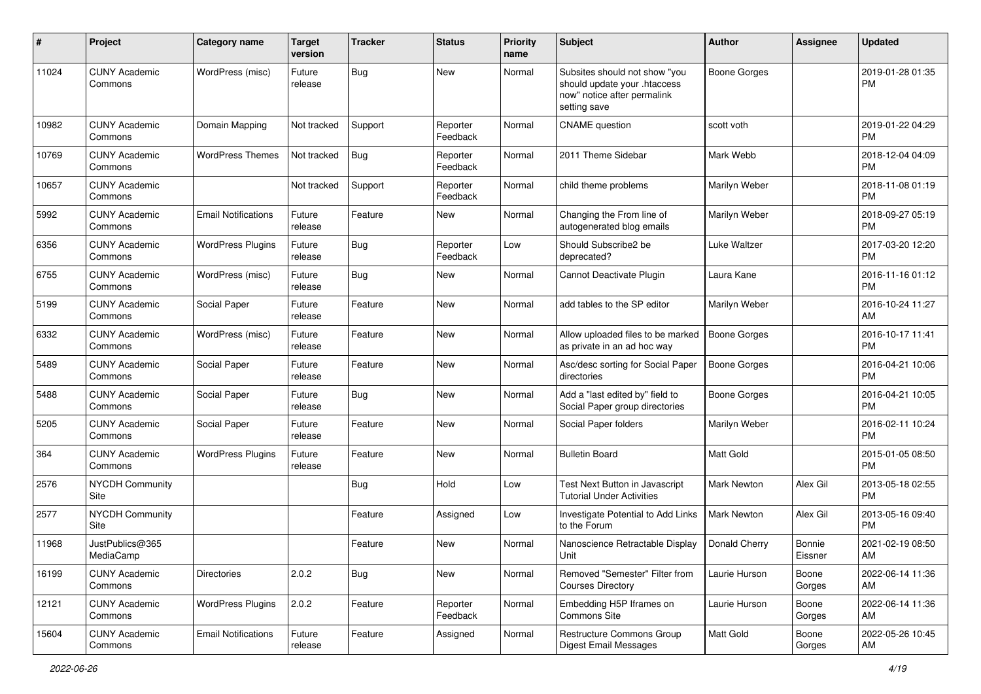| #     | Project                         | <b>Category name</b>       | <b>Target</b><br>version | <b>Tracker</b> | <b>Status</b>        | <b>Priority</b><br>name | <b>Subject</b>                                                                                               | Author              | Assignee          | <b>Updated</b>                |
|-------|---------------------------------|----------------------------|--------------------------|----------------|----------------------|-------------------------|--------------------------------------------------------------------------------------------------------------|---------------------|-------------------|-------------------------------|
| 11024 | <b>CUNY Academic</b><br>Commons | WordPress (misc)           | Future<br>release        | <b>Bug</b>     | <b>New</b>           | Normal                  | Subsites should not show "you<br>should update your .htaccess<br>now" notice after permalink<br>setting save | <b>Boone Gorges</b> |                   | 2019-01-28 01:35<br><b>PM</b> |
| 10982 | <b>CUNY Academic</b><br>Commons | Domain Mapping             | Not tracked              | Support        | Reporter<br>Feedback | Normal                  | <b>CNAME</b> question                                                                                        | scott voth          |                   | 2019-01-22 04:29<br><b>PM</b> |
| 10769 | <b>CUNY Academic</b><br>Commons | <b>WordPress Themes</b>    | Not tracked              | <b>Bug</b>     | Reporter<br>Feedback | Normal                  | 2011 Theme Sidebar                                                                                           | Mark Webb           |                   | 2018-12-04 04:09<br><b>PM</b> |
| 10657 | <b>CUNY Academic</b><br>Commons |                            | Not tracked              | Support        | Reporter<br>Feedback | Normal                  | child theme problems                                                                                         | Marilyn Weber       |                   | 2018-11-08 01:19<br><b>PM</b> |
| 5992  | <b>CUNY Academic</b><br>Commons | <b>Email Notifications</b> | Future<br>release        | Feature        | New                  | Normal                  | Changing the From line of<br>autogenerated blog emails                                                       | Marilyn Weber       |                   | 2018-09-27 05:19<br><b>PM</b> |
| 6356  | <b>CUNY Academic</b><br>Commons | <b>WordPress Plugins</b>   | Future<br>release        | Bug            | Reporter<br>Feedback | Low                     | Should Subscribe2 be<br>deprecated?                                                                          | Luke Waltzer        |                   | 2017-03-20 12:20<br><b>PM</b> |
| 6755  | <b>CUNY Academic</b><br>Commons | WordPress (misc)           | Future<br>release        | <b>Bug</b>     | <b>New</b>           | Normal                  | Cannot Deactivate Plugin                                                                                     | Laura Kane          |                   | 2016-11-16 01:12<br><b>PM</b> |
| 5199  | <b>CUNY Academic</b><br>Commons | Social Paper               | Future<br>release        | Feature        | <b>New</b>           | Normal                  | add tables to the SP editor                                                                                  | Marilyn Weber       |                   | 2016-10-24 11:27<br>AM        |
| 6332  | <b>CUNY Academic</b><br>Commons | WordPress (misc)           | Future<br>release        | Feature        | <b>New</b>           | Normal                  | Allow uploaded files to be marked<br>as private in an ad hoc way                                             | <b>Boone Gorges</b> |                   | 2016-10-17 11:41<br><b>PM</b> |
| 5489  | <b>CUNY Academic</b><br>Commons | Social Paper               | Future<br>release        | Feature        | <b>New</b>           | Normal                  | Asc/desc sorting for Social Paper<br>directories                                                             | <b>Boone Gorges</b> |                   | 2016-04-21 10:06<br><b>PM</b> |
| 5488  | <b>CUNY Academic</b><br>Commons | Social Paper               | Future<br>release        | Bug            | <b>New</b>           | Normal                  | Add a "last edited by" field to<br>Social Paper group directories                                            | <b>Boone Gorges</b> |                   | 2016-04-21 10:05<br><b>PM</b> |
| 5205  | <b>CUNY Academic</b><br>Commons | Social Paper               | Future<br>release        | Feature        | <b>New</b>           | Normal                  | Social Paper folders                                                                                         | Marilyn Weber       |                   | 2016-02-11 10:24<br><b>PM</b> |
| 364   | <b>CUNY Academic</b><br>Commons | <b>WordPress Plugins</b>   | Future<br>release        | Feature        | New                  | Normal                  | <b>Bulletin Board</b>                                                                                        | Matt Gold           |                   | 2015-01-05 08:50<br><b>PM</b> |
| 2576  | <b>NYCDH Community</b><br>Site  |                            |                          | Bug            | Hold                 | Low                     | Test Next Button in Javascript<br><b>Tutorial Under Activities</b>                                           | <b>Mark Newton</b>  | Alex Gil          | 2013-05-18 02:55<br><b>PM</b> |
| 2577  | <b>NYCDH Community</b><br>Site  |                            |                          | Feature        | Assigned             | Low                     | Investigate Potential to Add Links<br>to the Forum                                                           | <b>Mark Newton</b>  | Alex Gil          | 2013-05-16 09:40<br><b>PM</b> |
| 11968 | JustPublics@365<br>MediaCamp    |                            |                          | Feature        | New                  | Normal                  | Nanoscience Retractable Display<br>Unit                                                                      | Donald Cherry       | Bonnie<br>Eissner | 2021-02-19 08:50<br>AM        |
| 16199 | <b>CUNY Academic</b><br>Commons | <b>Directories</b>         | 2.0.2                    | Bug            | New                  | Normal                  | Removed "Semester" Filter from<br><b>Courses Directory</b>                                                   | Laurie Hurson       | Boone<br>Gorges   | 2022-06-14 11:36<br>AM        |
| 12121 | <b>CUNY Academic</b><br>Commons | <b>WordPress Plugins</b>   | 2.0.2                    | Feature        | Reporter<br>Feedback | Normal                  | Embedding H5P Iframes on<br>Commons Site                                                                     | Laurie Hurson       | Boone<br>Gorges   | 2022-06-14 11:36<br>AM        |
| 15604 | <b>CUNY Academic</b><br>Commons | <b>Email Notifications</b> | Future<br>release        | Feature        | Assigned             | Normal                  | Restructure Commons Group<br>Digest Email Messages                                                           | Matt Gold           | Boone<br>Gorges   | 2022-05-26 10:45<br>AM        |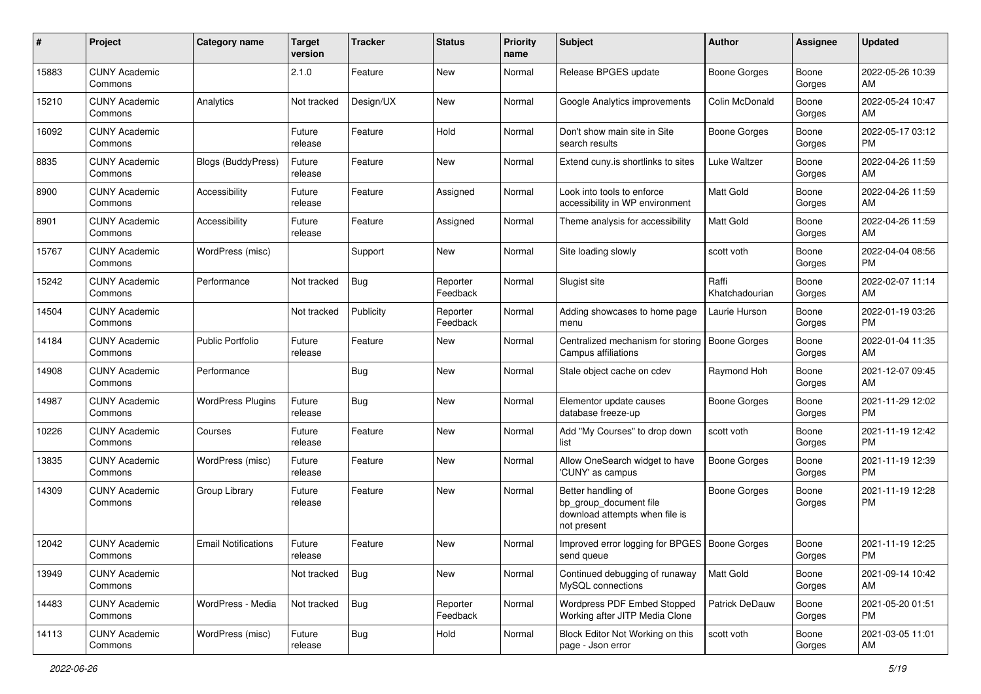| #     | Project                         | <b>Category name</b>       | <b>Target</b><br>version | <b>Tracker</b> | <b>Status</b>        | <b>Priority</b><br>name | Subject                                                                                       | Author                  | <b>Assignee</b> | Updated                       |
|-------|---------------------------------|----------------------------|--------------------------|----------------|----------------------|-------------------------|-----------------------------------------------------------------------------------------------|-------------------------|-----------------|-------------------------------|
| 15883 | <b>CUNY Academic</b><br>Commons |                            | 2.1.0                    | Feature        | New                  | Normal                  | Release BPGES update                                                                          | <b>Boone Gorges</b>     | Boone<br>Gorges | 2022-05-26 10:39<br>AM        |
| 15210 | <b>CUNY Academic</b><br>Commons | Analytics                  | Not tracked              | Design/UX      | New                  | Normal                  | Google Analytics improvements                                                                 | Colin McDonald          | Boone<br>Gorges | 2022-05-24 10:47<br>AM        |
| 16092 | <b>CUNY Academic</b><br>Commons |                            | Future<br>release        | Feature        | Hold                 | Normal                  | Don't show main site in Site<br>search results                                                | Boone Gorges            | Boone<br>Gorges | 2022-05-17 03:12<br><b>PM</b> |
| 8835  | <b>CUNY Academic</b><br>Commons | <b>Blogs (BuddyPress)</b>  | Future<br>release        | Feature        | New                  | Normal                  | Extend cuny is shortlinks to sites                                                            | Luke Waltzer            | Boone<br>Gorges | 2022-04-26 11:59<br>AM        |
| 8900  | <b>CUNY Academic</b><br>Commons | Accessibility              | Future<br>release        | Feature        | Assigned             | Normal                  | Look into tools to enforce<br>accessibility in WP environment                                 | <b>Matt Gold</b>        | Boone<br>Gorges | 2022-04-26 11:59<br>AM        |
| 8901  | <b>CUNY Academic</b><br>Commons | Accessibility              | Future<br>release        | Feature        | Assigned             | Normal                  | Theme analysis for accessibility                                                              | <b>Matt Gold</b>        | Boone<br>Gorges | 2022-04-26 11:59<br>AM        |
| 15767 | <b>CUNY Academic</b><br>Commons | WordPress (misc)           |                          | Support        | New                  | Normal                  | Site loading slowly                                                                           | scott voth              | Boone<br>Gorges | 2022-04-04 08:56<br><b>PM</b> |
| 15242 | <b>CUNY Academic</b><br>Commons | Performance                | Not tracked              | <b>Bug</b>     | Reporter<br>Feedback | Normal                  | Slugist site                                                                                  | Raffi<br>Khatchadourian | Boone<br>Gorges | 2022-02-07 11:14<br>AM        |
| 14504 | <b>CUNY Academic</b><br>Commons |                            | Not tracked              | Publicity      | Reporter<br>Feedback | Normal                  | Adding showcases to home page<br>menu                                                         | Laurie Hurson           | Boone<br>Gorges | 2022-01-19 03:26<br><b>PM</b> |
| 14184 | <b>CUNY Academic</b><br>Commons | <b>Public Portfolio</b>    | Future<br>release        | Feature        | New                  | Normal                  | Centralized mechanism for storing<br>Campus affiliations                                      | <b>Boone Gorges</b>     | Boone<br>Gorges | 2022-01-04 11:35<br>AM        |
| 14908 | <b>CUNY Academic</b><br>Commons | Performance                |                          | Bug            | New                  | Normal                  | Stale object cache on cdev                                                                    | Raymond Hoh             | Boone<br>Gorges | 2021-12-07 09:45<br>AM        |
| 14987 | <b>CUNY Academic</b><br>Commons | <b>WordPress Plugins</b>   | Future<br>release        | <b>Bug</b>     | New                  | Normal                  | Elementor update causes<br>database freeze-up                                                 | <b>Boone Gorges</b>     | Boone<br>Gorges | 2021-11-29 12:02<br><b>PM</b> |
| 10226 | <b>CUNY Academic</b><br>Commons | Courses                    | Future<br>release        | Feature        | New                  | Normal                  | Add "My Courses" to drop down<br>list                                                         | scott voth              | Boone<br>Gorges | 2021-11-19 12:42<br><b>PM</b> |
| 13835 | <b>CUNY Academic</b><br>Commons | WordPress (misc)           | Future<br>release        | Feature        | <b>New</b>           | Normal                  | Allow OneSearch widget to have<br>'CUNY' as campus                                            | Boone Gorges            | Boone<br>Gorges | 2021-11-19 12:39<br><b>PM</b> |
| 14309 | <b>CUNY Academic</b><br>Commons | Group Library              | Future<br>release        | Feature        | <b>New</b>           | Normal                  | Better handling of<br>bp_group_document file<br>download attempts when file is<br>not present | <b>Boone Gorges</b>     | Boone<br>Gorges | 2021-11-19 12:28<br>PM        |
| 12042 | <b>CUNY Academic</b><br>Commons | <b>Email Notifications</b> | Future<br>release        | Feature        | New                  | Normal                  | Improved error logging for BPGES   Boone Gorges<br>send queue                                 |                         | Boone<br>Gorges | 2021-11-19 12:25<br>PM        |
| 13949 | <b>CUNY Academic</b><br>Commons |                            | Not tracked              | Bug            | New                  | Normal                  | Continued debugging of runaway<br>MySQL connections                                           | <b>Matt Gold</b>        | Boone<br>Gorges | 2021-09-14 10:42<br>AM        |
| 14483 | <b>CUNY Academic</b><br>Commons | WordPress - Media          | Not tracked              | Bug            | Reporter<br>Feedback | Normal                  | Wordpress PDF Embed Stopped<br>Working after JITP Media Clone                                 | Patrick DeDauw          | Boone<br>Gorges | 2021-05-20 01:51<br><b>PM</b> |
| 14113 | <b>CUNY Academic</b><br>Commons | WordPress (misc)           | Future<br>release        | <b>Bug</b>     | Hold                 | Normal                  | Block Editor Not Working on this<br>page - Json error                                         | scott voth              | Boone<br>Gorges | 2021-03-05 11:01<br>AM        |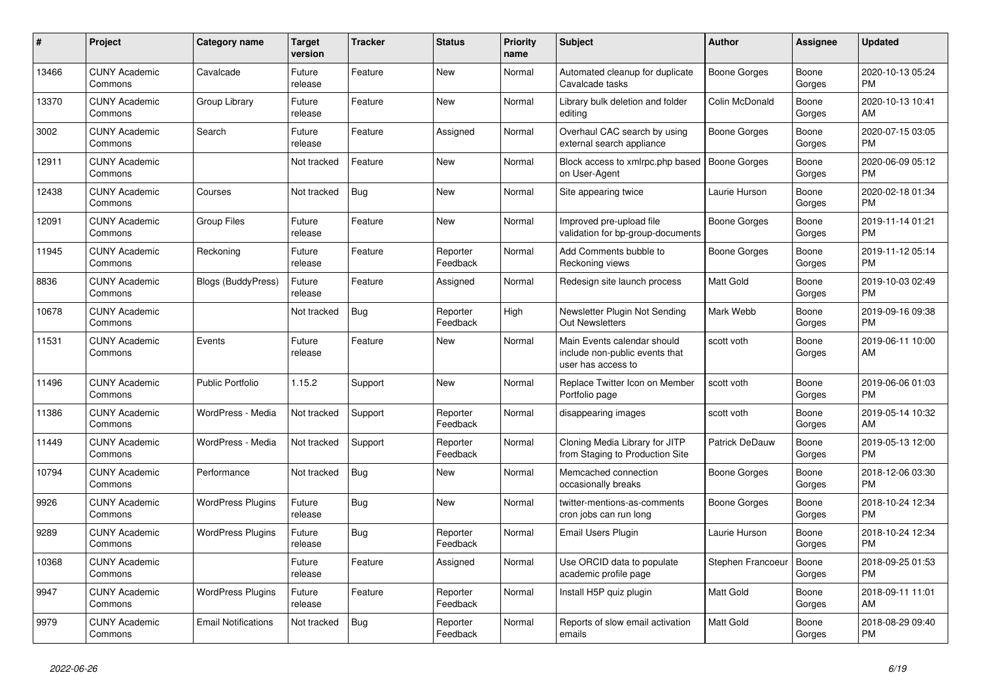| #     | Project                         | <b>Category name</b>       | <b>Target</b><br>version | <b>Tracker</b> | <b>Status</b>        | Priority<br>name | <b>Subject</b>                                                                      | <b>Author</b>       | Assignee        | <b>Updated</b>                |
|-------|---------------------------------|----------------------------|--------------------------|----------------|----------------------|------------------|-------------------------------------------------------------------------------------|---------------------|-----------------|-------------------------------|
| 13466 | <b>CUNY Academic</b><br>Commons | Cavalcade                  | Future<br>release        | Feature        | <b>New</b>           | Normal           | Automated cleanup for duplicate<br>Cavalcade tasks                                  | Boone Gorges        | Boone<br>Gorges | 2020-10-13 05:24<br><b>PM</b> |
| 13370 | <b>CUNY Academic</b><br>Commons | Group Library              | Future<br>release        | Feature        | <b>New</b>           | Normal           | Library bulk deletion and folder<br>editing                                         | Colin McDonald      | Boone<br>Gorges | 2020-10-13 10:41<br>AM        |
| 3002  | <b>CUNY Academic</b><br>Commons | Search                     | Future<br>release        | Feature        | Assigned             | Normal           | Overhaul CAC search by using<br>external search appliance                           | Boone Gorges        | Boone<br>Gorges | 2020-07-15 03:05<br><b>PM</b> |
| 12911 | <b>CUNY Academic</b><br>Commons |                            | Not tracked              | Feature        | <b>New</b>           | Normal           | Block access to xmlrpc.php based<br>on User-Agent                                   | <b>Boone Gorges</b> | Boone<br>Gorges | 2020-06-09 05:12<br><b>PM</b> |
| 12438 | <b>CUNY Academic</b><br>Commons | Courses                    | Not tracked              | Bug            | <b>New</b>           | Normal           | Site appearing twice                                                                | Laurie Hurson       | Boone<br>Gorges | 2020-02-18 01:34<br><b>PM</b> |
| 12091 | <b>CUNY Academic</b><br>Commons | <b>Group Files</b>         | Future<br>release        | Feature        | <b>New</b>           | Normal           | Improved pre-upload file<br>validation for bp-group-documents                       | <b>Boone Gorges</b> | Boone<br>Gorges | 2019-11-14 01:21<br><b>PM</b> |
| 11945 | <b>CUNY Academic</b><br>Commons | Reckoning                  | Future<br>release        | Feature        | Reporter<br>Feedback | Normal           | Add Comments bubble to<br>Reckoning views                                           | <b>Boone Gorges</b> | Boone<br>Gorges | 2019-11-12 05:14<br><b>PM</b> |
| 8836  | <b>CUNY Academic</b><br>Commons | <b>Blogs (BuddyPress)</b>  | Future<br>release        | Feature        | Assigned             | Normal           | Redesign site launch process                                                        | Matt Gold           | Boone<br>Gorges | 2019-10-03 02:49<br><b>PM</b> |
| 10678 | <b>CUNY Academic</b><br>Commons |                            | Not tracked              | <b>Bug</b>     | Reporter<br>Feedback | High             | Newsletter Plugin Not Sending<br><b>Out Newsletters</b>                             | Mark Webb           | Boone<br>Gorges | 2019-09-16 09:38<br><b>PM</b> |
| 11531 | <b>CUNY Academic</b><br>Commons | Events                     | Future<br>release        | Feature        | <b>New</b>           | Normal           | Main Events calendar should<br>include non-public events that<br>user has access to | scott voth          | Boone<br>Gorges | 2019-06-11 10:00<br>AM        |
| 11496 | <b>CUNY Academic</b><br>Commons | <b>Public Portfolio</b>    | 1.15.2                   | Support        | <b>New</b>           | Normal           | Replace Twitter Icon on Member<br>Portfolio page                                    | scott voth          | Boone<br>Gorges | 2019-06-06 01:03<br><b>PM</b> |
| 11386 | <b>CUNY Academic</b><br>Commons | WordPress - Media          | Not tracked              | Support        | Reporter<br>Feedback | Normal           | disappearing images                                                                 | scott voth          | Boone<br>Gorges | 2019-05-14 10:32<br>AM        |
| 11449 | <b>CUNY Academic</b><br>Commons | WordPress - Media          | Not tracked              | Support        | Reporter<br>Feedback | Normal           | Cloning Media Library for JITP<br>from Staging to Production Site                   | Patrick DeDauw      | Boone<br>Gorges | 2019-05-13 12:00<br><b>PM</b> |
| 10794 | <b>CUNY Academic</b><br>Commons | Performance                | Not tracked              | <b>Bug</b>     | <b>New</b>           | Normal           | Memcached connection<br>occasionally breaks                                         | Boone Gorges        | Boone<br>Gorges | 2018-12-06 03:30<br><b>PM</b> |
| 9926  | <b>CUNY Academic</b><br>Commons | <b>WordPress Plugins</b>   | Future<br>release        | <b>Bug</b>     | <b>New</b>           | Normal           | twitter-mentions-as-comments<br>cron jobs can run long                              | Boone Gorges        | Boone<br>Gorges | 2018-10-24 12:34<br><b>PM</b> |
| 9289  | <b>CUNY Academic</b><br>Commons | <b>WordPress Plugins</b>   | Future<br>release        | Bug            | Reporter<br>Feedback | Normal           | <b>Email Users Plugin</b>                                                           | Laurie Hurson       | Boone<br>Gorges | 2018-10-24 12:34<br><b>PM</b> |
| 10368 | <b>CUNY Academic</b><br>Commons |                            | Future<br>release        | Feature        | Assigned             | Normal           | Use ORCID data to populate<br>academic profile page                                 | Stephen Francoeur   | Boone<br>Gorges | 2018-09-25 01:53<br><b>PM</b> |
| 9947  | <b>CUNY Academic</b><br>Commons | <b>WordPress Plugins</b>   | Future<br>release        | Feature        | Reporter<br>Feedback | Normal           | Install H5P quiz plugin                                                             | Matt Gold           | Boone<br>Gorges | 2018-09-11 11:01<br>AM        |
| 9979  | <b>CUNY Academic</b><br>Commons | <b>Email Notifications</b> | Not tracked              | <b>Bug</b>     | Reporter<br>Feedback | Normal           | Reports of slow email activation<br>emails                                          | <b>Matt Gold</b>    | Boone<br>Gorges | 2018-08-29 09:40<br><b>PM</b> |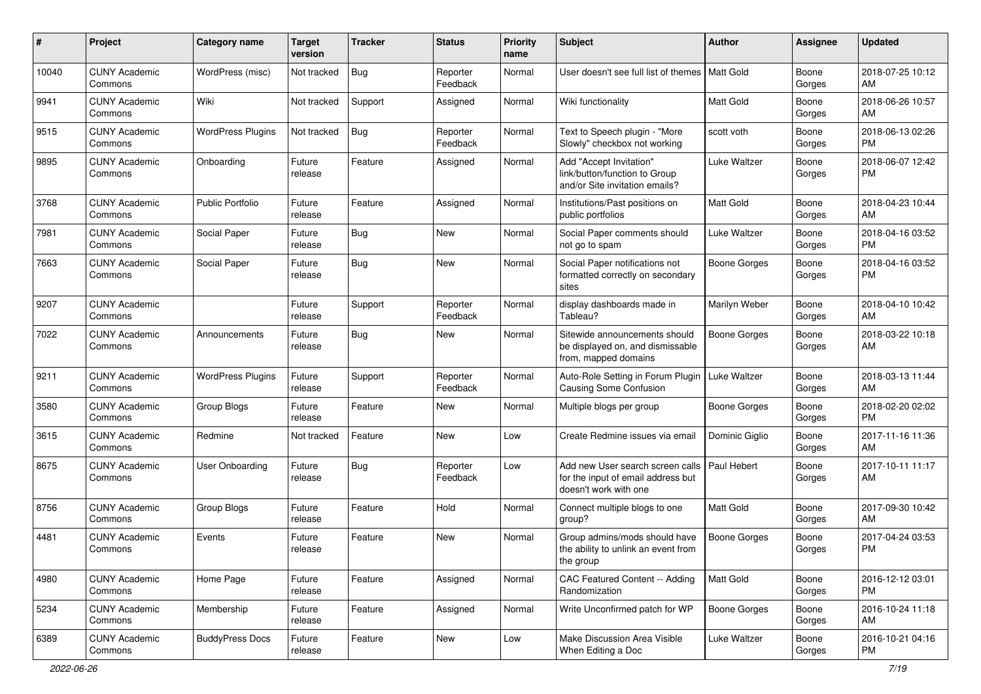| #     | Project                         | <b>Category name</b>     | <b>Target</b><br>version | <b>Tracker</b> | <b>Status</b>        | <b>Priority</b><br>name | <b>Subject</b>                                                                                  | Author              | <b>Assignee</b> | <b>Updated</b>                |
|-------|---------------------------------|--------------------------|--------------------------|----------------|----------------------|-------------------------|-------------------------------------------------------------------------------------------------|---------------------|-----------------|-------------------------------|
| 10040 | <b>CUNY Academic</b><br>Commons | WordPress (misc)         | Not tracked              | Bug            | Reporter<br>Feedback | Normal                  | User doesn't see full list of themes I                                                          | Matt Gold           | Boone<br>Gorges | 2018-07-25 10:12<br>AM        |
| 9941  | <b>CUNY Academic</b><br>Commons | Wiki                     | Not tracked              | Support        | Assigned             | Normal                  | Wiki functionality                                                                              | Matt Gold           | Boone<br>Gorges | 2018-06-26 10:57<br>AM        |
| 9515  | <b>CUNY Academic</b><br>Commons | <b>WordPress Plugins</b> | Not tracked              | Bug            | Reporter<br>Feedback | Normal                  | Text to Speech plugin - "More<br>Slowly" checkbox not working                                   | scott voth          | Boone<br>Gorges | 2018-06-13 02:26<br><b>PM</b> |
| 9895  | <b>CUNY Academic</b><br>Commons | Onboarding               | Future<br>release        | Feature        | Assigned             | Normal                  | Add "Accept Invitation"<br>link/button/function to Group<br>and/or Site invitation emails?      | Luke Waltzer        | Boone<br>Gorges | 2018-06-07 12:42<br><b>PM</b> |
| 3768  | <b>CUNY Academic</b><br>Commons | <b>Public Portfolio</b>  | Future<br>release        | Feature        | Assigned             | Normal                  | Institutions/Past positions on<br>public portfolios                                             | Matt Gold           | Boone<br>Gorges | 2018-04-23 10:44<br>AM        |
| 7981  | <b>CUNY Academic</b><br>Commons | Social Paper             | Future<br>release        | <b>Bug</b>     | <b>New</b>           | Normal                  | Social Paper comments should<br>not go to spam                                                  | Luke Waltzer        | Boone<br>Gorges | 2018-04-16 03:52<br><b>PM</b> |
| 7663  | <b>CUNY Academic</b><br>Commons | Social Paper             | Future<br>release        | Bug            | <b>New</b>           | Normal                  | Social Paper notifications not<br>formatted correctly on secondary<br>sites                     | <b>Boone Gorges</b> | Boone<br>Gorges | 2018-04-16 03:52<br><b>PM</b> |
| 9207  | <b>CUNY Academic</b><br>Commons |                          | Future<br>release        | Support        | Reporter<br>Feedback | Normal                  | display dashboards made in<br>Tableau?                                                          | Marilyn Weber       | Boone<br>Gorges | 2018-04-10 10:42<br>AM        |
| 7022  | <b>CUNY Academic</b><br>Commons | Announcements            | Future<br>release        | Bug            | New                  | Normal                  | Sitewide announcements should<br>be displayed on, and dismissable<br>from, mapped domains       | <b>Boone Gorges</b> | Boone<br>Gorges | 2018-03-22 10:18<br>AM        |
| 9211  | <b>CUNY Academic</b><br>Commons | <b>WordPress Plugins</b> | Future<br>release        | Support        | Reporter<br>Feedback | Normal                  | Auto-Role Setting in Forum Plugin<br>Causing Some Confusion                                     | Luke Waltzer        | Boone<br>Gorges | 2018-03-13 11:44<br>AM        |
| 3580  | <b>CUNY Academic</b><br>Commons | Group Blogs              | Future<br>release        | Feature        | New                  | Normal                  | Multiple blogs per group                                                                        | <b>Boone Gorges</b> | Boone<br>Gorges | 2018-02-20 02:02<br><b>PM</b> |
| 3615  | <b>CUNY Academic</b><br>Commons | Redmine                  | Not tracked              | Feature        | New                  | Low                     | Create Redmine issues via emai                                                                  | Dominic Giglio      | Boone<br>Gorges | 2017-11-16 11:36<br>AM        |
| 8675  | <b>CUNY Academic</b><br>Commons | <b>User Onboarding</b>   | Future<br>release        | <b>Bug</b>     | Reporter<br>Feedback | Low                     | Add new User search screen calls<br>for the input of email address but<br>doesn't work with one | Paul Hebert         | Boone<br>Gorges | 2017-10-11 11:17<br>AM        |
| 8756  | <b>CUNY Academic</b><br>Commons | Group Blogs              | Future<br>release        | Feature        | Hold                 | Normal                  | Connect multiple blogs to one<br>group?                                                         | <b>Matt Gold</b>    | Boone<br>Gorges | 2017-09-30 10:42<br>AM        |
| 4481  | <b>CUNY Academic</b><br>Commons | Events                   | Future<br>release        | Feature        | <b>New</b>           | Normal                  | Group admins/mods should have<br>the ability to unlink an event from<br>the group               | Boone Gorges        | Boone<br>Gorges | 2017-04-24 03:53<br>PM        |
| 4980  | <b>CUNY Academic</b><br>Commons | Home Page                | Future<br>release        | Feature        | Assigned             | Normal                  | CAC Featured Content -- Adding<br>Randomization                                                 | Matt Gold           | Boone<br>Gorges | 2016-12-12 03:01<br>PM        |
| 5234  | <b>CUNY Academic</b><br>Commons | Membership               | Future<br>release        | Feature        | Assigned             | Normal                  | Write Unconfirmed patch for WP                                                                  | <b>Boone Gorges</b> | Boone<br>Gorges | 2016-10-24 11:18<br>AM        |
| 6389  | <b>CUNY Academic</b><br>Commons | <b>BuddyPress Docs</b>   | Future<br>release        | Feature        | New                  | Low                     | Make Discussion Area Visible<br>When Editing a Doc                                              | Luke Waltzer        | Boone<br>Gorges | 2016-10-21 04:16<br>PM        |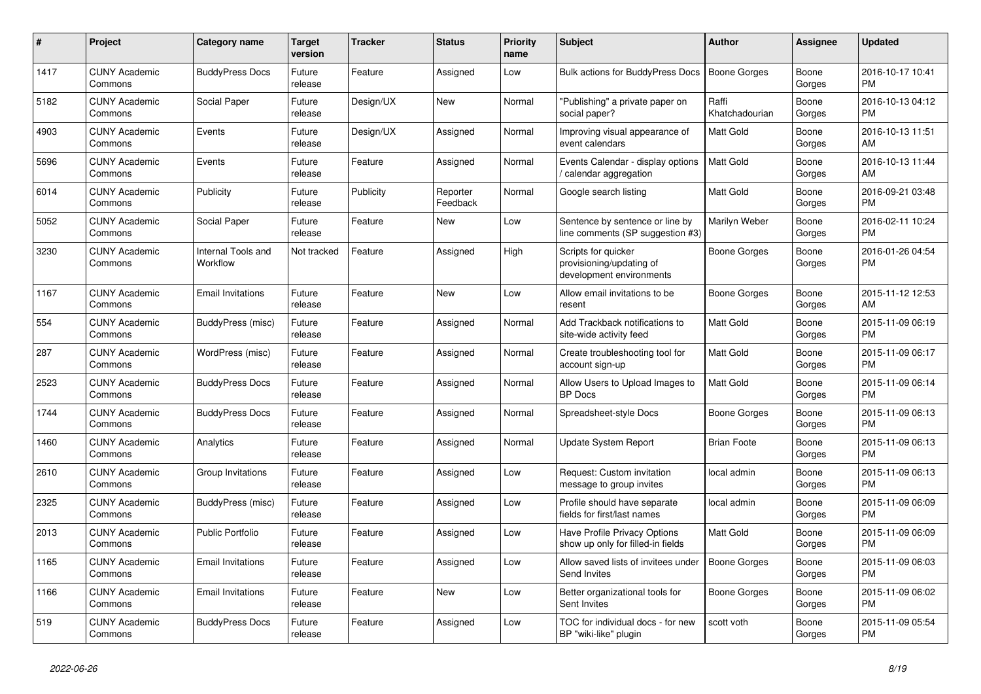| #    | <b>Project</b>                  | Category name                  | <b>Target</b><br>version | <b>Tracker</b> | <b>Status</b>        | <b>Priority</b><br>name | <b>Subject</b>                                                              | <b>Author</b>           | <b>Assignee</b> | <b>Updated</b>                |
|------|---------------------------------|--------------------------------|--------------------------|----------------|----------------------|-------------------------|-----------------------------------------------------------------------------|-------------------------|-----------------|-------------------------------|
| 1417 | <b>CUNY Academic</b><br>Commons | <b>BuddyPress Docs</b>         | Future<br>release        | Feature        | Assigned             | Low                     | <b>Bulk actions for BuddyPress Docs</b>                                     | <b>Boone Gorges</b>     | Boone<br>Gorges | 2016-10-17 10:41<br><b>PM</b> |
| 5182 | <b>CUNY Academic</b><br>Commons | Social Paper                   | Future<br>release        | Design/UX      | <b>New</b>           | Normal                  | 'Publishing" a private paper on<br>social paper?                            | Raffi<br>Khatchadourian | Boone<br>Gorges | 2016-10-13 04:12<br><b>PM</b> |
| 4903 | <b>CUNY Academic</b><br>Commons | Events                         | Future<br>release        | Design/UX      | Assigned             | Normal                  | Improving visual appearance of<br>event calendars                           | <b>Matt Gold</b>        | Boone<br>Gorges | 2016-10-13 11:51<br>AM        |
| 5696 | <b>CUNY Academic</b><br>Commons | Events                         | Future<br>release        | Feature        | Assigned             | Normal                  | Events Calendar - display options<br>calendar aggregation                   | <b>Matt Gold</b>        | Boone<br>Gorges | 2016-10-13 11:44<br>AM        |
| 6014 | <b>CUNY Academic</b><br>Commons | Publicity                      | Future<br>release        | Publicity      | Reporter<br>Feedback | Normal                  | Google search listing                                                       | Matt Gold               | Boone<br>Gorges | 2016-09-21 03:48<br><b>PM</b> |
| 5052 | <b>CUNY Academic</b><br>Commons | Social Paper                   | Future<br>release        | Feature        | <b>New</b>           | Low                     | Sentence by sentence or line by<br>line comments (SP suggestion #3)         | Marilyn Weber           | Boone<br>Gorges | 2016-02-11 10:24<br><b>PM</b> |
| 3230 | <b>CUNY Academic</b><br>Commons | Internal Tools and<br>Workflow | Not tracked              | Feature        | Assigned             | High                    | Scripts for quicker<br>provisioning/updating of<br>development environments | Boone Gorges            | Boone<br>Gorges | 2016-01-26 04:54<br><b>PM</b> |
| 1167 | <b>CUNY Academic</b><br>Commons | <b>Email Invitations</b>       | Future<br>release        | Feature        | <b>New</b>           | Low                     | Allow email invitations to be<br>resent                                     | Boone Gorges            | Boone<br>Gorges | 2015-11-12 12:53<br>AM        |
| 554  | <b>CUNY Academic</b><br>Commons | BuddyPress (misc)              | Future<br>release        | Feature        | Assigned             | Normal                  | Add Trackback notifications to<br>site-wide activity feed                   | <b>Matt Gold</b>        | Boone<br>Gorges | 2015-11-09 06:19<br><b>PM</b> |
| 287  | <b>CUNY Academic</b><br>Commons | WordPress (misc)               | Future<br>release        | Feature        | Assigned             | Normal                  | Create troubleshooting tool for<br>account sign-up                          | Matt Gold               | Boone<br>Gorges | 2015-11-09 06:17<br><b>PM</b> |
| 2523 | <b>CUNY Academic</b><br>Commons | <b>BuddyPress Docs</b>         | Future<br>release        | Feature        | Assigned             | Normal                  | Allow Users to Upload Images to<br><b>BP</b> Docs                           | Matt Gold               | Boone<br>Gorges | 2015-11-09 06:14<br><b>PM</b> |
| 1744 | <b>CUNY Academic</b><br>Commons | <b>BuddyPress Docs</b>         | Future<br>release        | Feature        | Assigned             | Normal                  | Spreadsheet-style Docs                                                      | Boone Gorges            | Boone<br>Gorges | 2015-11-09 06:13<br><b>PM</b> |
| 1460 | <b>CUNY Academic</b><br>Commons | Analytics                      | Future<br>release        | Feature        | Assigned             | Normal                  | Update System Report                                                        | <b>Brian Foote</b>      | Boone<br>Gorges | 2015-11-09 06:13<br><b>PM</b> |
| 2610 | <b>CUNY Academic</b><br>Commons | Group Invitations              | Future<br>release        | Feature        | Assigned             | Low                     | Request: Custom invitation<br>message to group invites                      | local admin             | Boone<br>Gorges | 2015-11-09 06:13<br><b>PM</b> |
| 2325 | <b>CUNY Academic</b><br>Commons | BuddyPress (misc)              | Future<br>release        | Feature        | Assigned             | Low                     | Profile should have separate<br>fields for first/last names                 | local admin             | Boone<br>Gorges | 2015-11-09 06:09<br><b>PM</b> |
| 2013 | <b>CUNY Academic</b><br>Commons | <b>Public Portfolio</b>        | Future<br>release        | Feature        | Assigned             | Low                     | Have Profile Privacy Options<br>show up only for filled-in fields           | <b>Matt Gold</b>        | Boone<br>Gorges | 2015-11-09 06:09<br><b>PM</b> |
| 1165 | <b>CUNY Academic</b><br>Commons | <b>Email Invitations</b>       | Future<br>release        | Feature        | Assigned             | Low                     | Allow saved lists of invitees under<br>Send Invites                         | <b>Boone Gorges</b>     | Boone<br>Gorges | 2015-11-09 06:03<br><b>PM</b> |
| 1166 | <b>CUNY Academic</b><br>Commons | <b>Email Invitations</b>       | Future<br>release        | Feature        | <b>New</b>           | Low                     | Better organizational tools for<br>Sent Invites                             | Boone Gorges            | Boone<br>Gorges | 2015-11-09 06:02<br><b>PM</b> |
| 519  | <b>CUNY Academic</b><br>Commons | <b>BuddyPress Docs</b>         | Future<br>release        | Feature        | Assigned             | Low                     | TOC for individual docs - for new<br>BP "wiki-like" plugin                  | scott voth              | Boone<br>Gorges | 2015-11-09 05:54<br><b>PM</b> |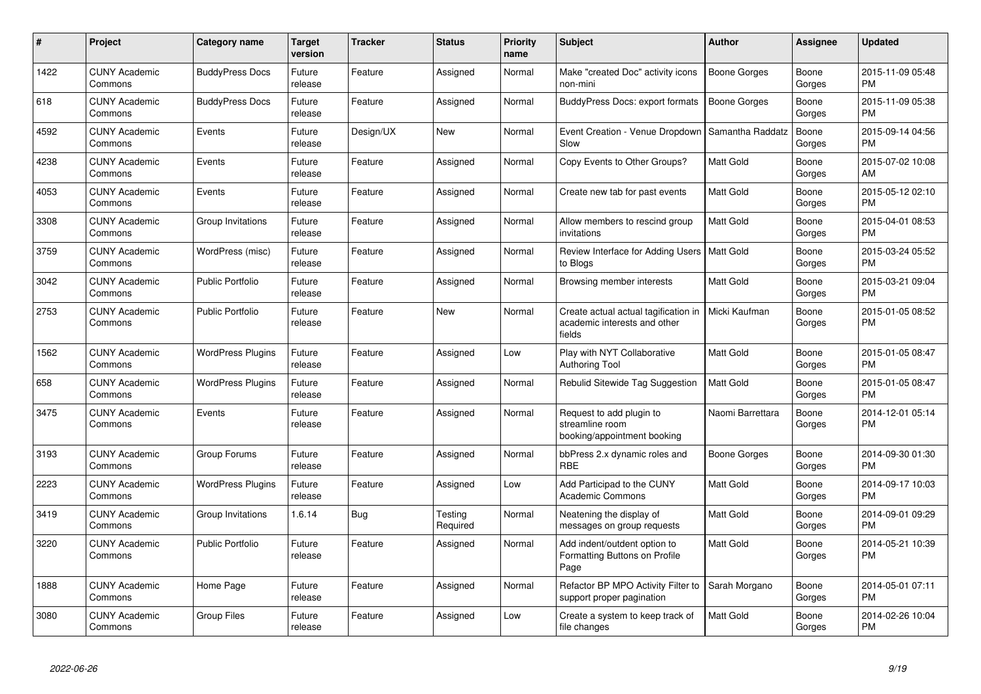| #    | Project                         | <b>Category name</b>     | Target<br>version | <b>Tracker</b> | <b>Status</b>       | <b>Priority</b><br>name | <b>Subject</b>                                                                 | <b>Author</b>       | <b>Assignee</b> | <b>Updated</b>                |
|------|---------------------------------|--------------------------|-------------------|----------------|---------------------|-------------------------|--------------------------------------------------------------------------------|---------------------|-----------------|-------------------------------|
| 1422 | <b>CUNY Academic</b><br>Commons | <b>BuddyPress Docs</b>   | Future<br>release | Feature        | Assigned            | Normal                  | Make "created Doc" activity icons<br>non-mini                                  | Boone Gorges        | Boone<br>Gorges | 2015-11-09 05:48<br><b>PM</b> |
| 618  | <b>CUNY Academic</b><br>Commons | <b>BuddyPress Docs</b>   | Future<br>release | Feature        | Assigned            | Normal                  | BuddyPress Docs: export formats                                                | <b>Boone Gorges</b> | Boone<br>Gorges | 2015-11-09 05:38<br><b>PM</b> |
| 4592 | <b>CUNY Academic</b><br>Commons | Events                   | Future<br>release | Design/UX      | New                 | Normal                  | Event Creation - Venue Dropdown<br>Slow                                        | Samantha Raddatz    | Boone<br>Gorges | 2015-09-14 04:56<br><b>PM</b> |
| 4238 | <b>CUNY Academic</b><br>Commons | Events                   | Future<br>release | Feature        | Assigned            | Normal                  | Copy Events to Other Groups?                                                   | <b>Matt Gold</b>    | Boone<br>Gorges | 2015-07-02 10:08<br>AM        |
| 4053 | <b>CUNY Academic</b><br>Commons | Events                   | Future<br>release | Feature        | Assigned            | Normal                  | Create new tab for past events                                                 | <b>Matt Gold</b>    | Boone<br>Gorges | 2015-05-12 02:10<br><b>PM</b> |
| 3308 | <b>CUNY Academic</b><br>Commons | Group Invitations        | Future<br>release | Feature        | Assigned            | Normal                  | Allow members to rescind group<br>invitations                                  | <b>Matt Gold</b>    | Boone<br>Gorges | 2015-04-01 08:53<br><b>PM</b> |
| 3759 | <b>CUNY Academic</b><br>Commons | WordPress (misc)         | Future<br>release | Feature        | Assigned            | Normal                  | Review Interface for Adding Users   Matt Gold<br>to Blogs                      |                     | Boone<br>Gorges | 2015-03-24 05:52<br><b>PM</b> |
| 3042 | <b>CUNY Academic</b><br>Commons | <b>Public Portfolio</b>  | Future<br>release | Feature        | Assigned            | Normal                  | Browsing member interests                                                      | <b>Matt Gold</b>    | Boone<br>Gorges | 2015-03-21 09:04<br><b>PM</b> |
| 2753 | <b>CUNY Academic</b><br>Commons | <b>Public Portfolio</b>  | Future<br>release | Feature        | <b>New</b>          | Normal                  | Create actual actual tagification in<br>academic interests and other<br>fields | Micki Kaufman       | Boone<br>Gorges | 2015-01-05 08:52<br>PM        |
| 1562 | <b>CUNY Academic</b><br>Commons | <b>WordPress Plugins</b> | Future<br>release | Feature        | Assigned            | Low                     | Play with NYT Collaborative<br><b>Authoring Tool</b>                           | <b>Matt Gold</b>    | Boone<br>Gorges | 2015-01-05 08:47<br><b>PM</b> |
| 658  | <b>CUNY Academic</b><br>Commons | <b>WordPress Plugins</b> | Future<br>release | Feature        | Assigned            | Normal                  | Rebulid Sitewide Tag Suggestion                                                | <b>Matt Gold</b>    | Boone<br>Gorges | 2015-01-05 08:47<br><b>PM</b> |
| 3475 | <b>CUNY Academic</b><br>Commons | Events                   | Future<br>release | Feature        | Assigned            | Normal                  | Request to add plugin to<br>streamline room<br>booking/appointment booking     | Naomi Barrettara    | Boone<br>Gorges | 2014-12-01 05:14<br><b>PM</b> |
| 3193 | <b>CUNY Academic</b><br>Commons | Group Forums             | Future<br>release | Feature        | Assigned            | Normal                  | bbPress 2.x dynamic roles and<br><b>RBE</b>                                    | Boone Gorges        | Boone<br>Gorges | 2014-09-30 01:30<br>PM        |
| 2223 | <b>CUNY Academic</b><br>Commons | <b>WordPress Plugins</b> | Future<br>release | Feature        | Assigned            | Low                     | Add Participad to the CUNY<br><b>Academic Commons</b>                          | <b>Matt Gold</b>    | Boone<br>Gorges | 2014-09-17 10:03<br><b>PM</b> |
| 3419 | <b>CUNY Academic</b><br>Commons | Group Invitations        | 1.6.14            | <b>Bug</b>     | Testing<br>Required | Normal                  | Neatening the display of<br>messages on group requests                         | <b>Matt Gold</b>    | Boone<br>Gorges | 2014-09-01 09:29<br><b>PM</b> |
| 3220 | <b>CUNY Academic</b><br>Commons | <b>Public Portfolio</b>  | Future<br>release | Feature        | Assigned            | Normal                  | Add indent/outdent option to<br>Formatting Buttons on Profile<br>Page          | <b>Matt Gold</b>    | Boone<br>Gorges | 2014-05-21 10:39<br><b>PM</b> |
| 1888 | <b>CUNY Academic</b><br>Commons | Home Page                | Future<br>release | Feature        | Assigned            | Normal                  | Refactor BP MPO Activity Filter to<br>support proper pagination                | Sarah Morgano       | Boone<br>Gorges | 2014-05-01 07:11<br><b>PM</b> |
| 3080 | <b>CUNY Academic</b><br>Commons | Group Files              | Future<br>release | Feature        | Assigned            | Low                     | Create a system to keep track of<br>file changes                               | <b>Matt Gold</b>    | Boone<br>Gorges | 2014-02-26 10:04<br><b>PM</b> |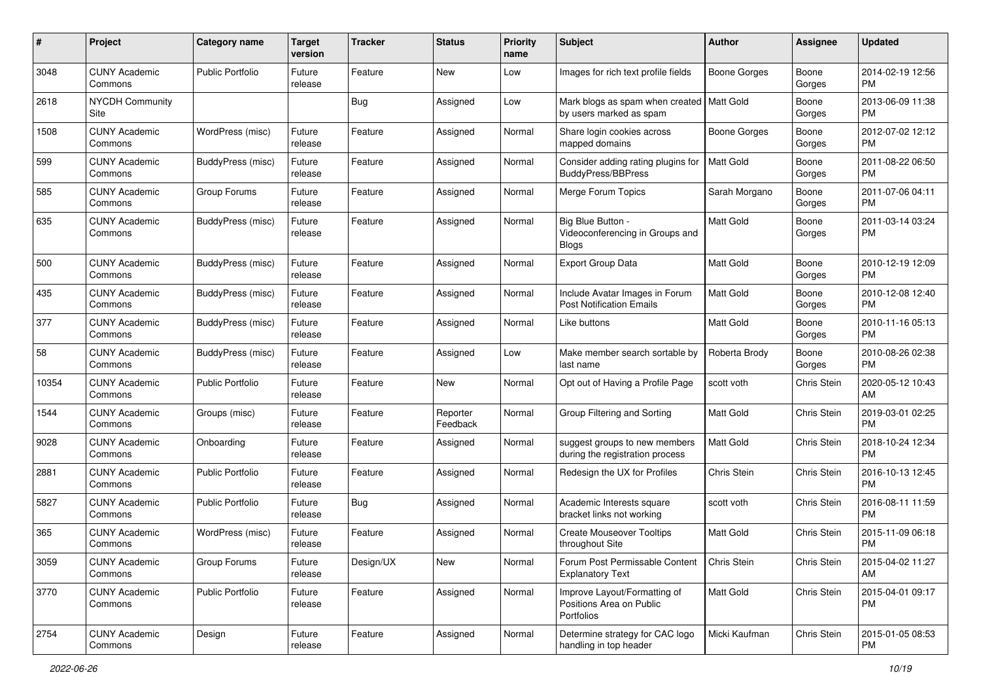| #     | Project                         | <b>Category name</b>    | <b>Target</b><br>version | <b>Tracker</b> | <b>Status</b>        | <b>Priority</b><br>name | Subject                                                                | <b>Author</b>       | <b>Assignee</b> | <b>Updated</b>                |
|-------|---------------------------------|-------------------------|--------------------------|----------------|----------------------|-------------------------|------------------------------------------------------------------------|---------------------|-----------------|-------------------------------|
| 3048  | <b>CUNY Academic</b><br>Commons | <b>Public Portfolio</b> | Future<br>release        | Feature        | <b>New</b>           | Low                     | Images for rich text profile fields                                    | <b>Boone Gorges</b> | Boone<br>Gorges | 2014-02-19 12:56<br><b>PM</b> |
| 2618  | <b>NYCDH Community</b><br>Site  |                         |                          | <b>Bug</b>     | Assigned             | Low                     | Mark blogs as spam when created   Matt Gold<br>by users marked as spam |                     | Boone<br>Gorges | 2013-06-09 11:38<br><b>PM</b> |
| 1508  | <b>CUNY Academic</b><br>Commons | WordPress (misc)        | Future<br>release        | Feature        | Assigned             | Normal                  | Share login cookies across<br>mapped domains                           | <b>Boone Gorges</b> | Boone<br>Gorges | 2012-07-02 12:12<br><b>PM</b> |
| 599   | <b>CUNY Academic</b><br>Commons | BuddyPress (misc)       | Future<br>release        | Feature        | Assigned             | Normal                  | Consider adding rating plugins for<br>BuddyPress/BBPress               | Matt Gold           | Boone<br>Gorges | 2011-08-22 06:50<br><b>PM</b> |
| 585   | <b>CUNY Academic</b><br>Commons | Group Forums            | Future<br>release        | Feature        | Assigned             | Normal                  | Merge Forum Topics                                                     | Sarah Morgano       | Boone<br>Gorges | 2011-07-06 04:11<br><b>PM</b> |
| 635   | <b>CUNY Academic</b><br>Commons | BuddyPress (misc)       | Future<br>release        | Feature        | Assigned             | Normal                  | Big Blue Button -<br>Videoconferencing in Groups and<br>Blogs          | <b>Matt Gold</b>    | Boone<br>Gorges | 2011-03-14 03:24<br><b>PM</b> |
| 500   | <b>CUNY Academic</b><br>Commons | BuddyPress (misc)       | Future<br>release        | Feature        | Assigned             | Normal                  | Export Group Data                                                      | Matt Gold           | Boone<br>Gorges | 2010-12-19 12:09<br><b>PM</b> |
| 435   | <b>CUNY Academic</b><br>Commons | BuddyPress (misc)       | Future<br>release        | Feature        | Assigned             | Normal                  | Include Avatar Images in Forum<br><b>Post Notification Emails</b>      | <b>Matt Gold</b>    | Boone<br>Gorges | 2010-12-08 12:40<br><b>PM</b> |
| 377   | <b>CUNY Academic</b><br>Commons | BuddyPress (misc)       | Future<br>release        | Feature        | Assigned             | Normal                  | Like buttons                                                           | <b>Matt Gold</b>    | Boone<br>Gorges | 2010-11-16 05:13<br><b>PM</b> |
| 58    | <b>CUNY Academic</b><br>Commons | BuddyPress (misc)       | Future<br>release        | Feature        | Assigned             | Low                     | Make member search sortable by<br>last name                            | Roberta Brody       | Boone<br>Gorges | 2010-08-26 02:38<br><b>PM</b> |
| 10354 | <b>CUNY Academic</b><br>Commons | <b>Public Portfolio</b> | Future<br>release        | Feature        | New                  | Normal                  | Opt out of Having a Profile Page                                       | scott voth          | Chris Stein     | 2020-05-12 10:43<br>AM        |
| 1544  | <b>CUNY Academic</b><br>Commons | Groups (misc)           | Future<br>release        | Feature        | Reporter<br>Feedback | Normal                  | Group Filtering and Sorting                                            | <b>Matt Gold</b>    | Chris Stein     | 2019-03-01 02:25<br>PM        |
| 9028  | <b>CUNY Academic</b><br>Commons | Onboarding              | Future<br>release        | Feature        | Assigned             | Normal                  | suggest groups to new members<br>during the registration process       | <b>Matt Gold</b>    | Chris Stein     | 2018-10-24 12:34<br><b>PM</b> |
| 2881  | <b>CUNY Academic</b><br>Commons | <b>Public Portfolio</b> | Future<br>release        | Feature        | Assigned             | Normal                  | Redesign the UX for Profiles                                           | Chris Stein         | Chris Stein     | 2016-10-13 12:45<br><b>PM</b> |
| 5827  | <b>CUNY Academic</b><br>Commons | <b>Public Portfolio</b> | Future<br>release        | <b>Bug</b>     | Assigned             | Normal                  | Academic Interests square<br>bracket links not working                 | scott voth          | Chris Stein     | 2016-08-11 11:59<br><b>PM</b> |
| 365   | <b>CUNY Academic</b><br>Commons | WordPress (misc)        | Future<br>release        | Feature        | Assigned             | Normal                  | <b>Create Mouseover Tooltips</b><br>throughout Site                    | <b>Matt Gold</b>    | Chris Stein     | 2015-11-09 06:18<br><b>PM</b> |
| 3059  | <b>CUNY Academic</b><br>Commons | Group Forums            | Future<br>release        | Design/UX      | New                  | Normal                  | Forum Post Permissable Content<br><b>Explanatory Text</b>              | Chris Stein         | Chris Stein     | 2015-04-02 11:27<br>AM        |
| 3770  | <b>CUNY Academic</b><br>Commons | Public Portfolio        | Future<br>release        | Feature        | Assigned             | Normal                  | Improve Layout/Formatting of<br>Positions Area on Public<br>Portfolios | Matt Gold           | Chris Stein     | 2015-04-01 09:17<br>PM        |
| 2754  | <b>CUNY Academic</b><br>Commons | Design                  | Future<br>release        | Feature        | Assigned             | Normal                  | Determine strategy for CAC logo<br>handling in top header              | Micki Kaufman       | Chris Stein     | 2015-01-05 08:53<br>PM        |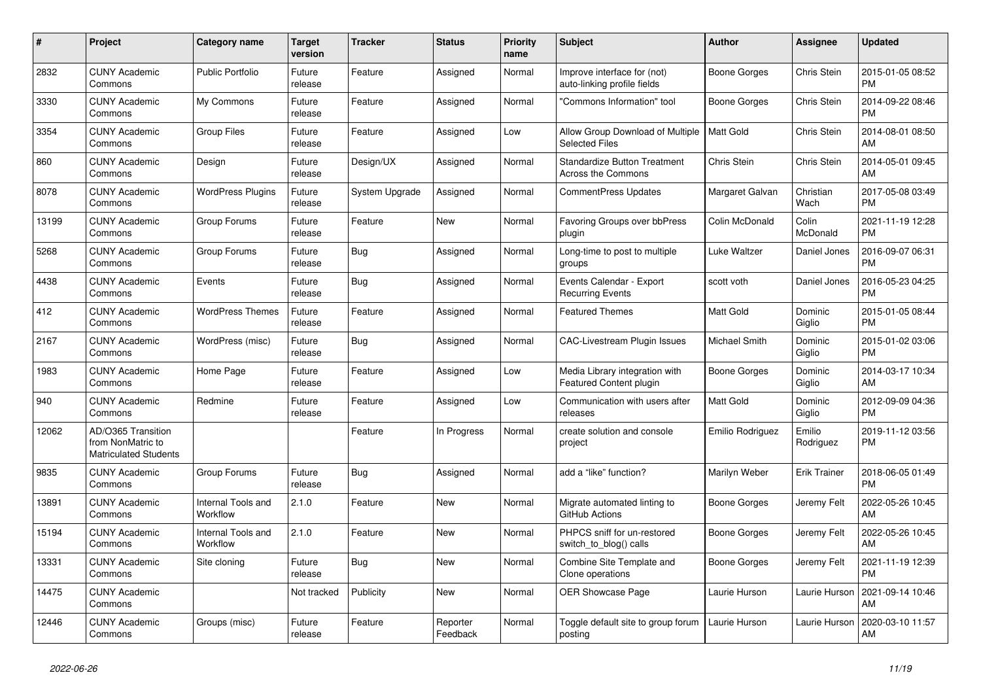| $\#$  | <b>Project</b>                                                          | Category name                  | <b>Target</b><br>version | <b>Tracker</b> | <b>Status</b>        | <b>Priority</b><br>name | <b>Subject</b>                                             | Author              | Assignee            | <b>Updated</b>                |
|-------|-------------------------------------------------------------------------|--------------------------------|--------------------------|----------------|----------------------|-------------------------|------------------------------------------------------------|---------------------|---------------------|-------------------------------|
| 2832  | <b>CUNY Academic</b><br>Commons                                         | <b>Public Portfolio</b>        | Future<br>release        | Feature        | Assigned             | Normal                  | Improve interface for (not)<br>auto-linking profile fields | Boone Gorges        | Chris Stein         | 2015-01-05 08:52<br><b>PM</b> |
| 3330  | <b>CUNY Academic</b><br>Commons                                         | My Commons                     | Future<br>release        | Feature        | Assigned             | Normal                  | 'Commons Information" tool                                 | Boone Gorges        | Chris Stein         | 2014-09-22 08:46<br><b>PM</b> |
| 3354  | <b>CUNY Academic</b><br>Commons                                         | Group Files                    | Future<br>release        | Feature        | Assigned             | Low                     | Allow Group Download of Multiple<br><b>Selected Files</b>  | Matt Gold           | Chris Stein         | 2014-08-01 08:50<br>AM        |
| 860   | <b>CUNY Academic</b><br>Commons                                         | Design                         | Future<br>release        | Design/UX      | Assigned             | Normal                  | <b>Standardize Button Treatment</b><br>Across the Commons  | Chris Stein         | Chris Stein         | 2014-05-01 09:45<br>AM        |
| 8078  | <b>CUNY Academic</b><br>Commons                                         | <b>WordPress Plugins</b>       | Future<br>release        | System Upgrade | Assigned             | Normal                  | <b>CommentPress Updates</b>                                | Margaret Galvan     | Christian<br>Wach   | 2017-05-08 03:49<br><b>PM</b> |
| 13199 | <b>CUNY Academic</b><br>Commons                                         | Group Forums                   | Future<br>release        | Feature        | New                  | Normal                  | Favoring Groups over bbPress<br>plugin                     | Colin McDonald      | Colin<br>McDonald   | 2021-11-19 12:28<br><b>PM</b> |
| 5268  | <b>CUNY Academic</b><br>Commons                                         | Group Forums                   | Future<br>release        | Bug            | Assigned             | Normal                  | Long-time to post to multiple<br>groups                    | Luke Waltzer        | Daniel Jones        | 2016-09-07 06:31<br><b>PM</b> |
| 4438  | <b>CUNY Academic</b><br>Commons                                         | Events                         | Future<br>release        | Bug            | Assigned             | Normal                  | Events Calendar - Export<br><b>Recurring Events</b>        | scott voth          | Daniel Jones        | 2016-05-23 04:25<br><b>PM</b> |
| 412   | <b>CUNY Academic</b><br>Commons                                         | <b>WordPress Themes</b>        | Future<br>release        | Feature        | Assigned             | Normal                  | <b>Featured Themes</b>                                     | Matt Gold           | Dominic<br>Giglio   | 2015-01-05 08:44<br><b>PM</b> |
| 2167  | <b>CUNY Academic</b><br>Commons                                         | WordPress (misc)               | Future<br>release        | Bug            | Assigned             | Normal                  | <b>CAC-Livestream Plugin Issues</b>                        | Michael Smith       | Dominic<br>Giglio   | 2015-01-02 03:06<br><b>PM</b> |
| 1983  | <b>CUNY Academic</b><br>Commons                                         | Home Page                      | Future<br>release        | Feature        | Assigned             | Low                     | Media Library integration with<br>Featured Content plugin  | Boone Gorges        | Dominic<br>Giglio   | 2014-03-17 10:34<br>AM        |
| 940   | <b>CUNY Academic</b><br>Commons                                         | Redmine                        | Future<br>release        | Feature        | Assigned             | Low                     | Communication with users after<br>releases                 | <b>Matt Gold</b>    | Dominic<br>Giglio   | 2012-09-09 04:36<br><b>PM</b> |
| 12062 | AD/O365 Transition<br>from NonMatric to<br><b>Matriculated Students</b> |                                |                          | Feature        | In Progress          | Normal                  | create solution and console<br>project                     | Emilio Rodriguez    | Emilio<br>Rodriguez | 2019-11-12 03:56<br><b>PM</b> |
| 9835  | <b>CUNY Academic</b><br>Commons                                         | Group Forums                   | Future<br>release        | <b>Bug</b>     | Assigned             | Normal                  | add a "like" function?                                     | Marilyn Weber       | <b>Erik Trainer</b> | 2018-06-05 01:49<br><b>PM</b> |
| 13891 | <b>CUNY Academic</b><br>Commons                                         | Internal Tools and<br>Workflow | 2.1.0                    | Feature        | <b>New</b>           | Normal                  | Migrate automated linting to<br>GitHub Actions             | Boone Gorges        | Jeremy Felt         | 2022-05-26 10:45<br>AM        |
| 15194 | <b>CUNY Academic</b><br>Commons                                         | Internal Tools and<br>Workflow | 2.1.0                    | Feature        | <b>New</b>           | Normal                  | PHPCS sniff for un-restored<br>switch_to_blog() calls      | <b>Boone Gorges</b> | Jeremy Felt         | 2022-05-26 10:45<br>AM        |
| 13331 | <b>CUNY Academic</b><br>Commons                                         | Site cloning                   | Future<br>release        | Bug            | <b>New</b>           | Normal                  | Combine Site Template and<br>Clone operations              | Boone Gorges        | Jeremy Felt         | 2021-11-19 12:39<br><b>PM</b> |
| 14475 | <b>CUNY Academic</b><br>Commons                                         |                                | Not tracked              | Publicity      | <b>New</b>           | Normal                  | <b>OER Showcase Page</b>                                   | Laurie Hurson       | Laurie Hurson       | 2021-09-14 10:46<br>AM        |
| 12446 | <b>CUNY Academic</b><br>Commons                                         | Groups (misc)                  | Future<br>release        | Feature        | Reporter<br>Feedback | Normal                  | Toggle default site to group forum<br>posting              | Laurie Hurson       | Laurie Hurson       | 2020-03-10 11:57<br>AM        |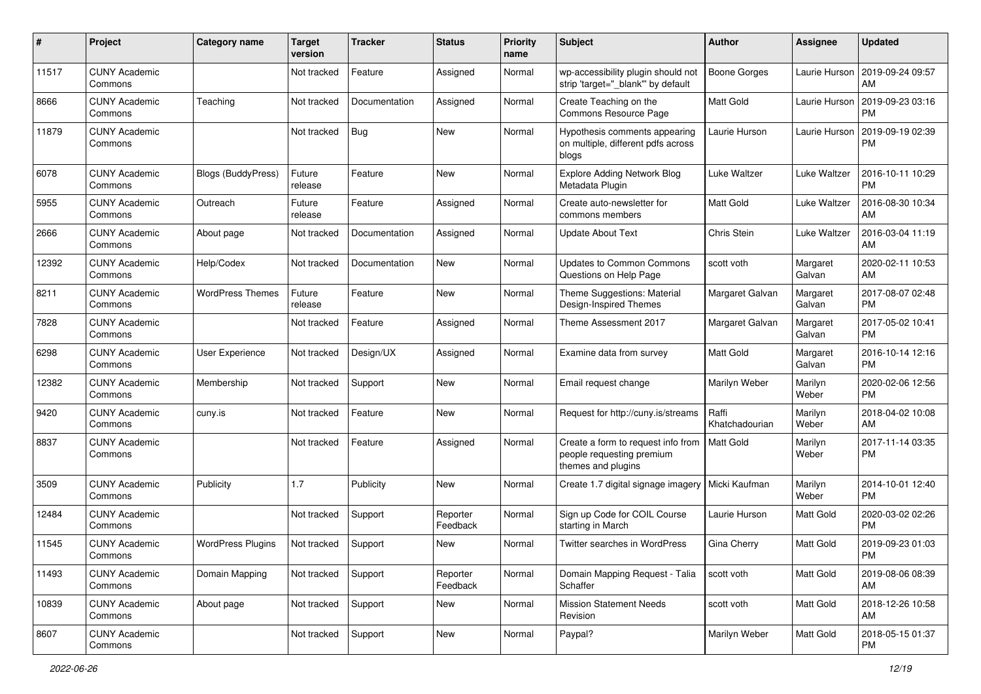| #     | Project                         | <b>Category name</b>      | <b>Target</b><br>version | <b>Tracker</b> | <b>Status</b>        | <b>Priority</b><br>name | <b>Subject</b>                                                                        | Author                  | Assignee           | <b>Updated</b>                |
|-------|---------------------------------|---------------------------|--------------------------|----------------|----------------------|-------------------------|---------------------------------------------------------------------------------------|-------------------------|--------------------|-------------------------------|
| 11517 | <b>CUNY Academic</b><br>Commons |                           | Not tracked              | Feature        | Assigned             | Normal                  | wp-accessibility plugin should not<br>strip 'target="_blank"' by default              | <b>Boone Gorges</b>     | Laurie Hurson      | 2019-09-24 09:57<br>AM        |
| 8666  | <b>CUNY Academic</b><br>Commons | Teaching                  | Not tracked              | Documentation  | Assigned             | Normal                  | Create Teaching on the<br>Commons Resource Page                                       | Matt Gold               | Laurie Hurson      | 2019-09-23 03:16<br><b>PM</b> |
| 11879 | <b>CUNY Academic</b><br>Commons |                           | Not tracked              | Bug            | <b>New</b>           | Normal                  | Hypothesis comments appearing<br>on multiple, different pdfs across<br>blogs          | Laurie Hurson           | Laurie Hurson      | 2019-09-19 02:39<br><b>PM</b> |
| 6078  | <b>CUNY Academic</b><br>Commons | <b>Blogs (BuddyPress)</b> | Future<br>release        | Feature        | New                  | Normal                  | <b>Explore Adding Network Blog</b><br>Metadata Plugin                                 | Luke Waltzer            | Luke Waltzer       | 2016-10-11 10:29<br><b>PM</b> |
| 5955  | <b>CUNY Academic</b><br>Commons | Outreach                  | Future<br>release        | Feature        | Assigned             | Normal                  | Create auto-newsletter for<br>commons members                                         | Matt Gold               | Luke Waltzer       | 2016-08-30 10:34<br>AM        |
| 2666  | <b>CUNY Academic</b><br>Commons | About page                | Not tracked              | Documentation  | Assigned             | Normal                  | <b>Update About Text</b>                                                              | Chris Stein             | Luke Waltzer       | 2016-03-04 11:19<br>AM        |
| 12392 | <b>CUNY Academic</b><br>Commons | Help/Codex                | Not tracked              | Documentation  | New                  | Normal                  | <b>Updates to Common Commons</b><br>Questions on Help Page                            | scott voth              | Margaret<br>Galvan | 2020-02-11 10:53<br>AM        |
| 8211  | <b>CUNY Academic</b><br>Commons | <b>WordPress Themes</b>   | Future<br>release        | Feature        | New                  | Normal                  | Theme Suggestions: Material<br>Design-Inspired Themes                                 | Margaret Galvan         | Margaret<br>Galvan | 2017-08-07 02:48<br><b>PM</b> |
| 7828  | <b>CUNY Academic</b><br>Commons |                           | Not tracked              | Feature        | Assigned             | Normal                  | Theme Assessment 2017                                                                 | Margaret Galvan         | Margaret<br>Galvan | 2017-05-02 10:41<br><b>PM</b> |
| 6298  | <b>CUNY Academic</b><br>Commons | <b>User Experience</b>    | Not tracked              | Design/UX      | Assigned             | Normal                  | Examine data from survey                                                              | Matt Gold               | Margaret<br>Galvan | 2016-10-14 12:16<br><b>PM</b> |
| 12382 | <b>CUNY Academic</b><br>Commons | Membership                | Not tracked              | Support        | <b>New</b>           | Normal                  | Email request change                                                                  | Marilyn Weber           | Marilyn<br>Weber   | 2020-02-06 12:56<br><b>PM</b> |
| 9420  | <b>CUNY Academic</b><br>Commons | cuny.is                   | Not tracked              | Feature        | New                  | Normal                  | Request for http://cuny.is/streams                                                    | Raffi<br>Khatchadourian | Marilyn<br>Weber   | 2018-04-02 10:08<br>AM        |
| 8837  | <b>CUNY Academic</b><br>Commons |                           | Not tracked              | Feature        | Assigned             | Normal                  | Create a form to request info from<br>people requesting premium<br>themes and plugins | Matt Gold               | Marilyn<br>Weber   | 2017-11-14 03:35<br><b>PM</b> |
| 3509  | <b>CUNY Academic</b><br>Commons | Publicity                 | 1.7                      | Publicity      | <b>New</b>           | Normal                  | Create 1.7 digital signage imagery                                                    | Micki Kaufman           | Marilyn<br>Weber   | 2014-10-01 12:40<br><b>PM</b> |
| 12484 | <b>CUNY Academic</b><br>Commons |                           | Not tracked              | Support        | Reporter<br>Feedback | Normal                  | Sign up Code for COIL Course<br>starting in March                                     | Laurie Hurson           | Matt Gold          | 2020-03-02 02:26<br><b>PM</b> |
| 11545 | <b>CUNY Academic</b><br>Commons | <b>WordPress Plugins</b>  | Not tracked              | Support        | <b>New</b>           | Normal                  | Twitter searches in WordPress                                                         | Gina Cherry             | Matt Gold          | 2019-09-23 01:03<br>PM        |
| 11493 | <b>CUNY Academic</b><br>Commons | Domain Mapping            | Not tracked              | Support        | Reporter<br>Feedback | Normal                  | Domain Mapping Request - Talia<br>Schaffer                                            | scott voth              | Matt Gold          | 2019-08-06 08:39<br>AM        |
| 10839 | <b>CUNY Academic</b><br>Commons | About page                | Not tracked              | Support        | New                  | Normal                  | <b>Mission Statement Needs</b><br>Revision                                            | scott voth              | Matt Gold          | 2018-12-26 10:58<br>AM        |
| 8607  | <b>CUNY Academic</b><br>Commons |                           | Not tracked              | Support        | New                  | Normal                  | Paypal?                                                                               | Marilyn Weber           | Matt Gold          | 2018-05-15 01:37<br>PM        |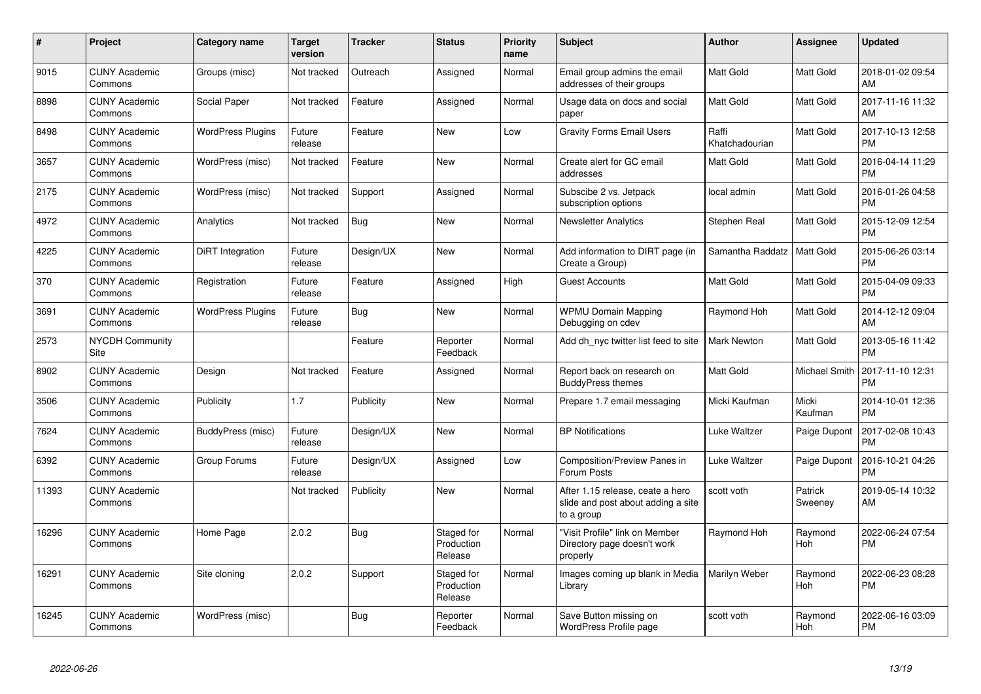| $\#$  | Project                         | Category name            | <b>Target</b><br>version | <b>Tracker</b> | <b>Status</b>                       | <b>Priority</b><br>name | <b>Subject</b>                                                                       | Author                  | Assignee              | <b>Updated</b>                |
|-------|---------------------------------|--------------------------|--------------------------|----------------|-------------------------------------|-------------------------|--------------------------------------------------------------------------------------|-------------------------|-----------------------|-------------------------------|
| 9015  | <b>CUNY Academic</b><br>Commons | Groups (misc)            | Not tracked              | Outreach       | Assigned                            | Normal                  | Email group admins the email<br>addresses of their groups                            | <b>Matt Gold</b>        | <b>Matt Gold</b>      | 2018-01-02 09:54<br>AM        |
| 8898  | <b>CUNY Academic</b><br>Commons | Social Paper             | Not tracked              | Feature        | Assigned                            | Normal                  | Usage data on docs and social<br>paper                                               | <b>Matt Gold</b>        | Matt Gold             | 2017-11-16 11:32<br>AM        |
| 8498  | <b>CUNY Academic</b><br>Commons | <b>WordPress Plugins</b> | Future<br>release        | Feature        | <b>New</b>                          | Low                     | <b>Gravity Forms Email Users</b>                                                     | Raffi<br>Khatchadourian | Matt Gold             | 2017-10-13 12:58<br><b>PM</b> |
| 3657  | <b>CUNY Academic</b><br>Commons | WordPress (misc)         | Not tracked              | Feature        | <b>New</b>                          | Normal                  | Create alert for GC email<br>addresses                                               | <b>Matt Gold</b>        | Matt Gold             | 2016-04-14 11:29<br><b>PM</b> |
| 2175  | <b>CUNY Academic</b><br>Commons | WordPress (misc)         | Not tracked              | Support        | Assigned                            | Normal                  | Subscibe 2 vs. Jetpack<br>subscription options                                       | local admin             | Matt Gold             | 2016-01-26 04:58<br><b>PM</b> |
| 4972  | <b>CUNY Academic</b><br>Commons | Analytics                | Not tracked              | Bug            | <b>New</b>                          | Normal                  | <b>Newsletter Analytics</b>                                                          | Stephen Real            | Matt Gold             | 2015-12-09 12:54<br><b>PM</b> |
| 4225  | <b>CUNY Academic</b><br>Commons | DiRT Integration         | Future<br>release        | Design/UX      | <b>New</b>                          | Normal                  | Add information to DIRT page (in<br>Create a Group)                                  | Samantha Raddatz        | Matt Gold             | 2015-06-26 03:14<br><b>PM</b> |
| 370   | <b>CUNY Academic</b><br>Commons | Registration             | Future<br>release        | Feature        | Assigned                            | High                    | <b>Guest Accounts</b>                                                                | <b>Matt Gold</b>        | <b>Matt Gold</b>      | 2015-04-09 09:33<br><b>PM</b> |
| 3691  | <b>CUNY Academic</b><br>Commons | <b>WordPress Plugins</b> | Future<br>release        | Bug            | <b>New</b>                          | Normal                  | <b>WPMU Domain Mapping</b><br>Debugging on cdev                                      | Raymond Hoh             | Matt Gold             | 2014-12-12 09:04<br>AM        |
| 2573  | <b>NYCDH Community</b><br>Site  |                          |                          | Feature        | Reporter<br>Feedback                | Normal                  | Add dh nyc twitter list feed to site                                                 | <b>Mark Newton</b>      | Matt Gold             | 2013-05-16 11:42<br><b>PM</b> |
| 8902  | <b>CUNY Academic</b><br>Commons | Design                   | Not tracked              | Feature        | Assigned                            | Normal                  | Report back on research on<br><b>BuddyPress themes</b>                               | <b>Matt Gold</b>        | Michael Smith         | 2017-11-10 12:31<br><b>PM</b> |
| 3506  | <b>CUNY Academic</b><br>Commons | Publicity                | 1.7                      | Publicity      | New                                 | Normal                  | Prepare 1.7 email messaging                                                          | Micki Kaufman           | Micki<br>Kaufman      | 2014-10-01 12:36<br><b>PM</b> |
| 7624  | <b>CUNY Academic</b><br>Commons | BuddyPress (misc)        | Future<br>release        | Design/UX      | New                                 | Normal                  | <b>BP Notifications</b>                                                              | Luke Waltzer            | Paige Dupont          | 2017-02-08 10:43<br><b>PM</b> |
| 6392  | <b>CUNY Academic</b><br>Commons | Group Forums             | Future<br>release        | Design/UX      | Assigned                            | Low                     | Composition/Preview Panes in<br>Forum Posts                                          | Luke Waltzer            | Paige Dupont          | 2016-10-21 04:26<br><b>PM</b> |
| 11393 | <b>CUNY Academic</b><br>Commons |                          | Not tracked              | Publicity      | <b>New</b>                          | Normal                  | After 1.15 release, ceate a hero<br>slide and post about adding a site<br>to a group | scott voth              | Patrick<br>Sweeney    | 2019-05-14 10:32<br>AM        |
| 16296 | <b>CUNY Academic</b><br>Commons | Home Page                | 2.0.2                    | Bug            | Staged for<br>Production<br>Release | Normal                  | "Visit Profile" link on Member<br>Directory page doesn't work<br>properly            | Raymond Hoh             | Raymond<br>Hoh        | 2022-06-24 07:54<br><b>PM</b> |
| 16291 | <b>CUNY Academic</b><br>Commons | Site cloning             | 2.0.2                    | Support        | Staged for<br>Production<br>Release | Normal                  | Images coming up blank in Media<br>Library                                           | Marilyn Weber           | Raymond<br><b>Hoh</b> | 2022-06-23 08:28<br><b>PM</b> |
| 16245 | <b>CUNY Academic</b><br>Commons | WordPress (misc)         |                          | <b>Bug</b>     | Reporter<br>Feedback                | Normal                  | Save Button missing on<br>WordPress Profile page                                     | scott voth              | Raymond<br>Hoh        | 2022-06-16 03:09<br><b>PM</b> |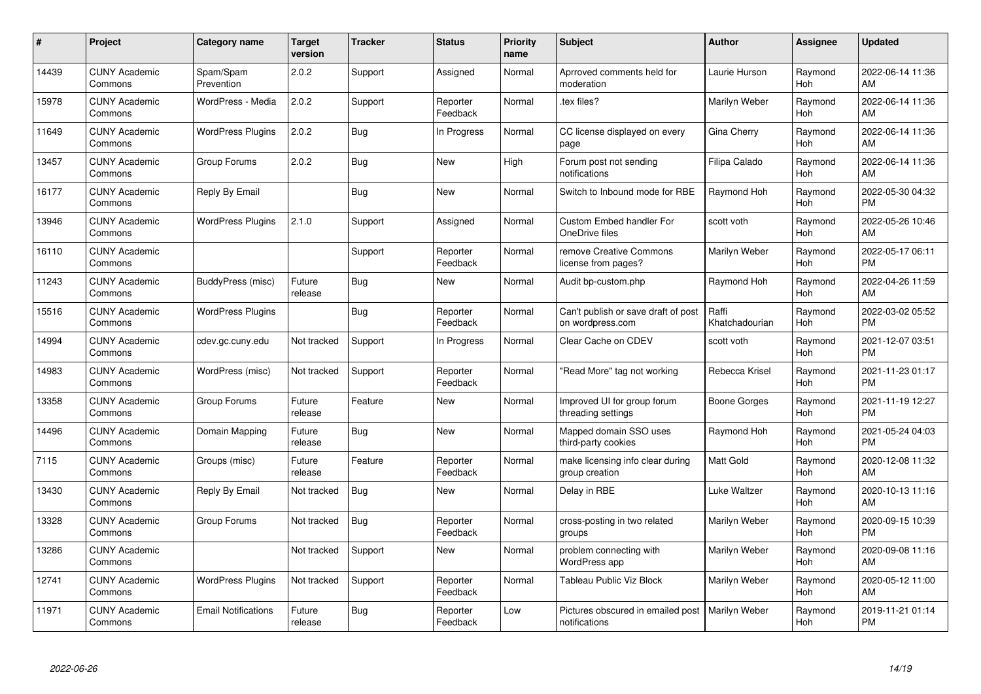| $\pmb{\#}$ | Project                         | <b>Category name</b>       | <b>Target</b><br>version | <b>Tracker</b> | <b>Status</b>        | <b>Priority</b><br>name | <b>Subject</b>                                          | Author                  | <b>Assignee</b>       | <b>Updated</b>                |
|------------|---------------------------------|----------------------------|--------------------------|----------------|----------------------|-------------------------|---------------------------------------------------------|-------------------------|-----------------------|-------------------------------|
| 14439      | <b>CUNY Academic</b><br>Commons | Spam/Spam<br>Prevention    | 2.0.2                    | Support        | Assigned             | Normal                  | Aprroved comments held for<br>moderation                | Laurie Hurson           | Raymond<br>Hoh        | 2022-06-14 11:36<br>AM        |
| 15978      | <b>CUNY Academic</b><br>Commons | WordPress - Media          | 2.0.2                    | Support        | Reporter<br>Feedback | Normal                  | tex files?                                              | Marilyn Weber           | Raymond<br>Hoh        | 2022-06-14 11:36<br>AM        |
| 11649      | <b>CUNY Academic</b><br>Commons | <b>WordPress Plugins</b>   | 2.0.2                    | <b>Bug</b>     | In Progress          | Normal                  | CC license displayed on every<br>page                   | Gina Cherry             | Raymond<br>Hoh        | 2022-06-14 11:36<br>AM        |
| 13457      | <b>CUNY Academic</b><br>Commons | Group Forums               | 2.0.2                    | <b>Bug</b>     | <b>New</b>           | High                    | Forum post not sending<br>notifications                 | Filipa Calado           | Raymond<br>Hoh        | 2022-06-14 11:36<br>AM        |
| 16177      | <b>CUNY Academic</b><br>Commons | Reply By Email             |                          | Bug            | <b>New</b>           | Normal                  | Switch to Inbound mode for RBE                          | Raymond Hoh             | Raymond<br>Hoh        | 2022-05-30 04:32<br><b>PM</b> |
| 13946      | <b>CUNY Academic</b><br>Commons | <b>WordPress Plugins</b>   | 2.1.0                    | Support        | Assigned             | Normal                  | Custom Embed handler For<br>OneDrive files              | scott voth              | Raymond<br>Hoh        | 2022-05-26 10:46<br>AM        |
| 16110      | <b>CUNY Academic</b><br>Commons |                            |                          | Support        | Reporter<br>Feedback | Normal                  | remove Creative Commons<br>license from pages?          | Marilyn Weber           | Raymond<br>Hoh        | 2022-05-17 06:11<br><b>PM</b> |
| 11243      | <b>CUNY Academic</b><br>Commons | BuddyPress (misc)          | Future<br>release        | Bug            | <b>New</b>           | Normal                  | Audit bp-custom.php                                     | Raymond Hoh             | Raymond<br><b>Hoh</b> | 2022-04-26 11:59<br>AM        |
| 15516      | <b>CUNY Academic</b><br>Commons | <b>WordPress Plugins</b>   |                          | <b>Bug</b>     | Reporter<br>Feedback | Normal                  | Can't publish or save draft of post<br>on wordpress.com | Raffi<br>Khatchadourian | Raymond<br>Hoh        | 2022-03-02 05:52<br><b>PM</b> |
| 14994      | <b>CUNY Academic</b><br>Commons | cdev.gc.cuny.edu           | Not tracked              | Support        | In Progress          | Normal                  | Clear Cache on CDEV                                     | scott voth              | Raymond<br>Hoh        | 2021-12-07 03:51<br><b>PM</b> |
| 14983      | <b>CUNY Academic</b><br>Commons | WordPress (misc)           | Not tracked              | Support        | Reporter<br>Feedback | Normal                  | 'Read More" tag not working                             | Rebecca Krisel          | Raymond<br>Hoh        | 2021-11-23 01:17<br><b>PM</b> |
| 13358      | <b>CUNY Academic</b><br>Commons | Group Forums               | Future<br>release        | Feature        | <b>New</b>           | Normal                  | Improved UI for group forum<br>threading settings       | Boone Gorges            | Raymond<br>Hoh        | 2021-11-19 12:27<br><b>PM</b> |
| 14496      | <b>CUNY Academic</b><br>Commons | Domain Mapping             | Future<br>release        | <b>Bug</b>     | New                  | Normal                  | Mapped domain SSO uses<br>third-party cookies           | Raymond Hoh             | Raymond<br>Hoh        | 2021-05-24 04:03<br><b>PM</b> |
| 7115       | <b>CUNY Academic</b><br>Commons | Groups (misc)              | Future<br>release        | Feature        | Reporter<br>Feedback | Normal                  | make licensing info clear during<br>group creation      | <b>Matt Gold</b>        | Raymond<br>Hoh        | 2020-12-08 11:32<br>AM        |
| 13430      | <b>CUNY Academic</b><br>Commons | Reply By Email             | Not tracked              | <b>Bug</b>     | <b>New</b>           | Normal                  | Delay in RBE                                            | Luke Waltzer            | Raymond<br>Hoh        | 2020-10-13 11:16<br>AM        |
| 13328      | <b>CUNY Academic</b><br>Commons | Group Forums               | Not tracked              | <b>Bug</b>     | Reporter<br>Feedback | Normal                  | cross-posting in two related<br>groups                  | Marilyn Weber           | Raymond<br>Hoh        | 2020-09-15 10:39<br><b>PM</b> |
| 13286      | <b>CUNY Academic</b><br>Commons |                            | Not tracked              | Support        | New                  | Normal                  | problem connecting with<br>WordPress app                | Marilyn Weber           | Raymond<br>Hoh        | 2020-09-08 11:16<br>AM        |
| 12741      | <b>CUNY Academic</b><br>Commons | <b>WordPress Plugins</b>   | Not tracked              | Support        | Reporter<br>Feedback | Normal                  | <b>Tableau Public Viz Block</b>                         | Marilyn Weber           | Raymond<br>Hoh        | 2020-05-12 11:00<br>AM        |
| 11971      | CUNY Academic<br>Commons        | <b>Email Notifications</b> | Future<br>release        | <b>Bug</b>     | Reporter<br>Feedback | Low                     | Pictures obscured in emailed post<br>notifications      | Marilyn Weber           | Raymond<br>Hoh        | 2019-11-21 01:14<br>PM        |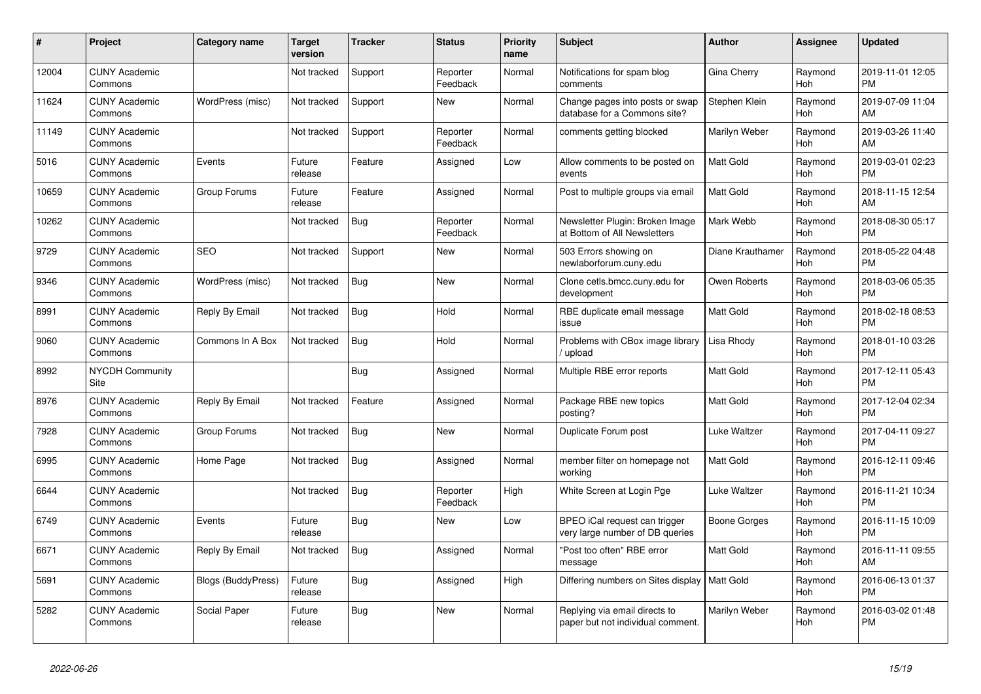| #     | <b>Project</b>                  | <b>Category name</b>      | Target<br>version | Tracker    | <b>Status</b>        | <b>Priority</b><br>name | <b>Subject</b>                                                     | <b>Author</b>    | Assignee              | <b>Updated</b>                |
|-------|---------------------------------|---------------------------|-------------------|------------|----------------------|-------------------------|--------------------------------------------------------------------|------------------|-----------------------|-------------------------------|
| 12004 | <b>CUNY Academic</b><br>Commons |                           | Not tracked       | Support    | Reporter<br>Feedback | Normal                  | Notifications for spam blog<br>comments                            | Gina Cherry      | Raymond<br><b>Hoh</b> | 2019-11-01 12:05<br><b>PM</b> |
| 11624 | <b>CUNY Academic</b><br>Commons | WordPress (misc)          | Not tracked       | Support    | New                  | Normal                  | Change pages into posts or swap<br>database for a Commons site?    | Stephen Klein    | Raymond<br>Hoh        | 2019-07-09 11:04<br>AM        |
| 11149 | <b>CUNY Academic</b><br>Commons |                           | Not tracked       | Support    | Reporter<br>Feedback | Normal                  | comments getting blocked                                           | Marilyn Weber    | Raymond<br><b>Hoh</b> | 2019-03-26 11:40<br>AM        |
| 5016  | <b>CUNY Academic</b><br>Commons | Events                    | Future<br>release | Feature    | Assigned             | Low                     | Allow comments to be posted on<br>events                           | <b>Matt Gold</b> | Raymond<br><b>Hoh</b> | 2019-03-01 02:23<br><b>PM</b> |
| 10659 | <b>CUNY Academic</b><br>Commons | Group Forums              | Future<br>release | Feature    | Assigned             | Normal                  | Post to multiple groups via email                                  | Matt Gold        | Raymond<br>Hoh        | 2018-11-15 12:54<br>AM        |
| 10262 | <b>CUNY Academic</b><br>Commons |                           | Not tracked       | Bug        | Reporter<br>Feedback | Normal                  | Newsletter Plugin: Broken Image<br>at Bottom of All Newsletters    | Mark Webb        | Raymond<br>Hoh        | 2018-08-30 05:17<br><b>PM</b> |
| 9729  | <b>CUNY Academic</b><br>Commons | <b>SEO</b>                | Not tracked       | Support    | <b>New</b>           | Normal                  | 503 Errors showing on<br>newlaborforum.cuny.edu                    | Diane Krauthamer | Raymond<br><b>Hoh</b> | 2018-05-22 04:48<br><b>PM</b> |
| 9346  | <b>CUNY Academic</b><br>Commons | WordPress (misc)          | Not tracked       | Bug        | <b>New</b>           | Normal                  | Clone cetls.bmcc.cuny.edu for<br>development                       | Owen Roberts     | Raymond<br>Hoh        | 2018-03-06 05:35<br><b>PM</b> |
| 8991  | <b>CUNY Academic</b><br>Commons | Reply By Email            | Not tracked       | Bug        | Hold                 | Normal                  | RBE duplicate email message<br>issue                               | Matt Gold        | Raymond<br><b>Hoh</b> | 2018-02-18 08:53<br><b>PM</b> |
| 9060  | <b>CUNY Academic</b><br>Commons | Commons In A Box          | Not tracked       | <b>Bug</b> | Hold                 | Normal                  | Problems with CBox image library<br>upload                         | Lisa Rhody       | Raymond<br>Hoh        | 2018-01-10 03:26<br><b>PM</b> |
| 8992  | <b>NYCDH Community</b><br>Site  |                           |                   | <b>Bug</b> | Assigned             | Normal                  | Multiple RBE error reports                                         | Matt Gold        | Raymond<br>Hoh        | 2017-12-11 05:43<br><b>PM</b> |
| 8976  | <b>CUNY Academic</b><br>Commons | Reply By Email            | Not tracked       | Feature    | Assigned             | Normal                  | Package RBE new topics<br>posting?                                 | Matt Gold        | Raymond<br>Hoh        | 2017-12-04 02:34<br><b>PM</b> |
| 7928  | <b>CUNY Academic</b><br>Commons | Group Forums              | Not tracked       | Bug        | <b>New</b>           | Normal                  | Duplicate Forum post                                               | Luke Waltzer     | Raymond<br>Hoh        | 2017-04-11 09:27<br><b>PM</b> |
| 6995  | <b>CUNY Academic</b><br>Commons | Home Page                 | Not tracked       | Bug        | Assigned             | Normal                  | member filter on homepage not<br>working                           | <b>Matt Gold</b> | Raymond<br>Hoh        | 2016-12-11 09:46<br><b>PM</b> |
| 6644  | <b>CUNY Academic</b><br>Commons |                           | Not tracked       | Bug        | Reporter<br>Feedback | High                    | White Screen at Login Pge                                          | Luke Waltzer     | Raymond<br>Hoh        | 2016-11-21 10:34<br><b>PM</b> |
| 6749  | <b>CUNY Academic</b><br>Commons | Events                    | Future<br>release | <b>Bug</b> | <b>New</b>           | Low                     | BPEO iCal request can trigger<br>very large number of DB queries   | Boone Gorges     | Raymond<br>Hoh        | 2016-11-15 10:09<br><b>PM</b> |
| 6671  | <b>CUNY Academic</b><br>Commons | Reply By Email            | Not tracked       | <b>Bug</b> | Assigned             | Normal                  | "Post too often" RBE error<br>message                              | Matt Gold        | Raymond<br>Hoh        | 2016-11-11 09:55<br>AM        |
| 5691  | <b>CUNY Academic</b><br>Commons | <b>Blogs (BuddyPress)</b> | Future<br>release | Bug        | Assigned             | High                    | Differing numbers on Sites display   Matt Gold                     |                  | Raymond<br>Hoh        | 2016-06-13 01:37<br><b>PM</b> |
| 5282  | <b>CUNY Academic</b><br>Commons | Social Paper              | Future<br>release | Bug        | <b>New</b>           | Normal                  | Replying via email directs to<br>paper but not individual comment. | Marilyn Weber    | Raymond<br><b>Hoh</b> | 2016-03-02 01:48<br><b>PM</b> |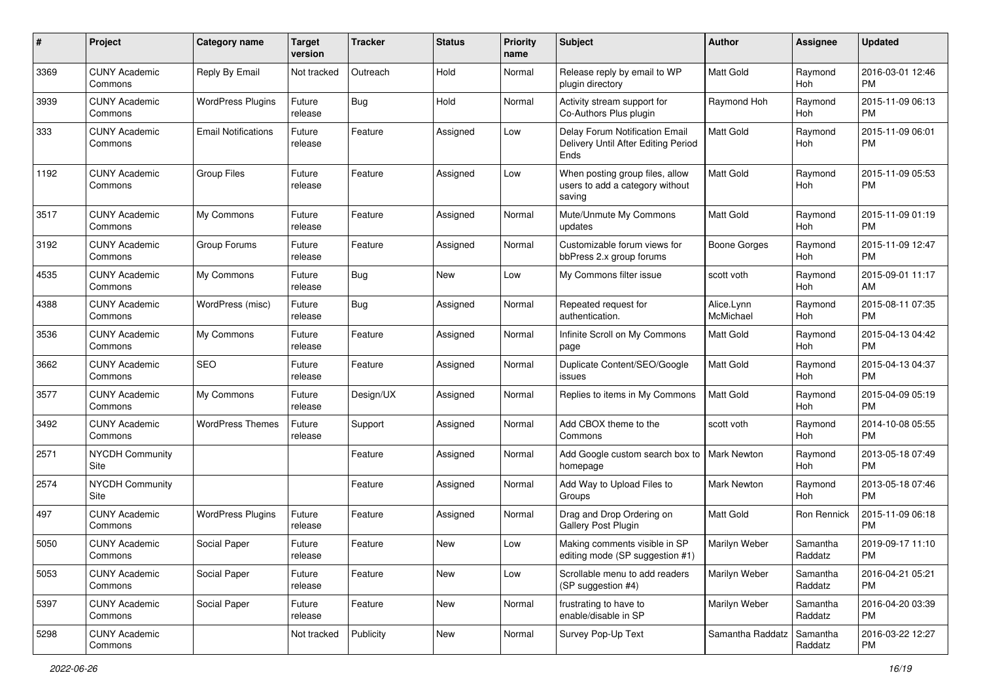| #    | Project                         | <b>Category name</b>       | <b>Target</b><br>version | <b>Tracker</b> | <b>Status</b> | <b>Priority</b><br>name | <b>Subject</b>                                                                | Author                  | <b>Assignee</b>       | <b>Updated</b>                |
|------|---------------------------------|----------------------------|--------------------------|----------------|---------------|-------------------------|-------------------------------------------------------------------------------|-------------------------|-----------------------|-------------------------------|
| 3369 | <b>CUNY Academic</b><br>Commons | Reply By Email             | Not tracked              | Outreach       | Hold          | Normal                  | Release reply by email to WP<br>plugin directory                              | Matt Gold               | Raymond<br><b>Hoh</b> | 2016-03-01 12:46<br>PM        |
| 3939 | <b>CUNY Academic</b><br>Commons | <b>WordPress Plugins</b>   | Future<br>release        | Bug            | Hold          | Normal                  | Activity stream support for<br>Co-Authors Plus plugin                         | Raymond Hoh             | Raymond<br>Hoh        | 2015-11-09 06:13<br>РM        |
| 333  | <b>CUNY Academic</b><br>Commons | <b>Email Notifications</b> | Future<br>release        | Feature        | Assigned      | Low                     | Delay Forum Notification Email<br>Delivery Until After Editing Period<br>Ends | Matt Gold               | Raymond<br>Hoh        | 2015-11-09 06:01<br><b>PM</b> |
| 1192 | <b>CUNY Academic</b><br>Commons | <b>Group Files</b>         | Future<br>release        | Feature        | Assigned      | Low                     | When posting group files, allow<br>users to add a category without<br>saving  | Matt Gold               | Raymond<br>Hoh        | 2015-11-09 05:53<br><b>PM</b> |
| 3517 | <b>CUNY Academic</b><br>Commons | My Commons                 | Future<br>release        | Feature        | Assigned      | Normal                  | Mute/Unmute My Commons<br>updates                                             | Matt Gold               | Raymond<br>Hoh        | 2015-11-09 01:19<br>PM        |
| 3192 | <b>CUNY Academic</b><br>Commons | Group Forums               | Future<br>release        | Feature        | Assigned      | Normal                  | Customizable forum views for<br>bbPress 2.x group forums                      | Boone Gorges            | Raymond<br>Hoh        | 2015-11-09 12:47<br><b>PM</b> |
| 4535 | <b>CUNY Academic</b><br>Commons | My Commons                 | Future<br>release        | <b>Bug</b>     | New           | Low                     | My Commons filter issue                                                       | scott voth              | Raymond<br><b>Hoh</b> | 2015-09-01 11:17<br>AM        |
| 4388 | <b>CUNY Academic</b><br>Commons | WordPress (misc)           | Future<br>release        | Bug            | Assigned      | Normal                  | Repeated request for<br>authentication.                                       | Alice.Lynn<br>McMichael | Raymond<br>Hoh        | 2015-08-11 07:35<br>РM        |
| 3536 | <b>CUNY Academic</b><br>Commons | My Commons                 | Future<br>release        | Feature        | Assigned      | Normal                  | Infinite Scroll on My Commons<br>page                                         | Matt Gold               | Raymond<br>Hoh        | 2015-04-13 04:42<br><b>PM</b> |
| 3662 | <b>CUNY Academic</b><br>Commons | SEO                        | Future<br>release        | Feature        | Assigned      | Normal                  | Duplicate Content/SEO/Google<br>issues                                        | Matt Gold               | Raymond<br>Hoh        | 2015-04-13 04:37<br>PM        |
| 3577 | <b>CUNY Academic</b><br>Commons | My Commons                 | Future<br>release        | Design/UX      | Assigned      | Normal                  | Replies to items in My Commons                                                | Matt Gold               | Raymond<br>Hoh        | 2015-04-09 05:19<br><b>PM</b> |
| 3492 | <b>CUNY Academic</b><br>Commons | <b>WordPress Themes</b>    | Future<br>release        | Support        | Assigned      | Normal                  | Add CBOX theme to the<br>Commons                                              | scott voth              | Raymond<br>Hoh        | 2014-10-08 05:55<br><b>PM</b> |
| 2571 | <b>NYCDH Community</b><br>Site  |                            |                          | Feature        | Assigned      | Normal                  | Add Google custom search box to<br>homepage                                   | <b>Mark Newton</b>      | Raymond<br>Hoh        | 2013-05-18 07:49<br><b>PM</b> |
| 2574 | <b>NYCDH Community</b><br>Site  |                            |                          | Feature        | Assigned      | Normal                  | Add Way to Upload Files to<br>Groups                                          | Mark Newton             | Raymond<br><b>Hoh</b> | 2013-05-18 07:46<br><b>PM</b> |
| 497  | <b>CUNY Academic</b><br>Commons | <b>WordPress Plugins</b>   | Future<br>release        | Feature        | Assigned      | Normal                  | Drag and Drop Ordering on<br>Gallery Post Plugin                              | Matt Gold               | Ron Rennick           | 2015-11-09 06:18<br>PМ        |
| 5050 | <b>CUNY Academic</b><br>Commons | Social Paper               | Future<br>release        | Feature        | New           | Low                     | Making comments visible in SP<br>editing mode (SP suggestion #1)              | Marilyn Weber           | Samantha<br>Raddatz   | 2019-09-17 11:10<br>PM        |
| 5053 | <b>CUNY Academic</b><br>Commons | Social Paper               | Future<br>release        | Feature        | New           | Low                     | Scrollable menu to add readers<br>(SP suggestion #4)                          | Marilyn Weber           | Samantha<br>Raddatz   | 2016-04-21 05:21<br>PM        |
| 5397 | <b>CUNY Academic</b><br>Commons | Social Paper               | Future<br>release        | Feature        | New           | Normal                  | frustrating to have to<br>enable/disable in SP                                | Marilyn Weber           | Samantha<br>Raddatz   | 2016-04-20 03:39<br><b>PM</b> |
| 5298 | <b>CUNY Academic</b><br>Commons |                            | Not tracked              | Publicity      | New           | Normal                  | Survey Pop-Up Text                                                            | Samantha Raddatz        | Samantha<br>Raddatz   | 2016-03-22 12:27<br><b>PM</b> |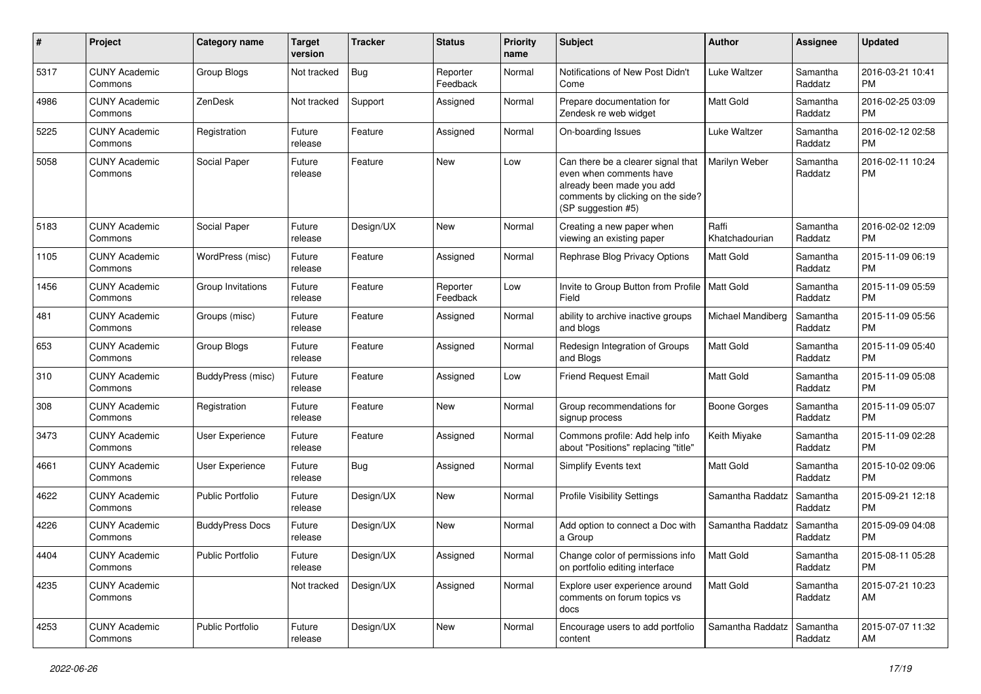| #    | Project                         | <b>Category name</b>    | <b>Target</b><br>version | <b>Tracker</b> | <b>Status</b>        | <b>Priority</b><br>name | Subject                                                                                                                                               | Author                  | <b>Assignee</b>     | <b>Updated</b>                |
|------|---------------------------------|-------------------------|--------------------------|----------------|----------------------|-------------------------|-------------------------------------------------------------------------------------------------------------------------------------------------------|-------------------------|---------------------|-------------------------------|
| 5317 | <b>CUNY Academic</b><br>Commons | Group Blogs             | Not tracked              | <b>Bug</b>     | Reporter<br>Feedback | Normal                  | Notifications of New Post Didn't<br>Come                                                                                                              | Luke Waltzer            | Samantha<br>Raddatz | 2016-03-21 10:41<br><b>PM</b> |
| 4986 | <b>CUNY Academic</b><br>Commons | ZenDesk                 | Not tracked              | Support        | Assigned             | Normal                  | Prepare documentation for<br>Zendesk re web widget                                                                                                    | Matt Gold               | Samantha<br>Raddatz | 2016-02-25 03:09<br><b>PM</b> |
| 5225 | <b>CUNY Academic</b><br>Commons | Registration            | Future<br>release        | Feature        | Assigned             | Normal                  | On-boarding Issues                                                                                                                                    | Luke Waltzer            | Samantha<br>Raddatz | 2016-02-12 02:58<br><b>PM</b> |
| 5058 | <b>CUNY Academic</b><br>Commons | Social Paper            | Future<br>release        | Feature        | New                  | Low                     | Can there be a clearer signal that<br>even when comments have<br>already been made you add<br>comments by clicking on the side?<br>(SP suggestion #5) | Marilyn Weber           | Samantha<br>Raddatz | 2016-02-11 10:24<br><b>PM</b> |
| 5183 | <b>CUNY Academic</b><br>Commons | Social Paper            | Future<br>release        | Design/UX      | New                  | Normal                  | Creating a new paper when<br>viewing an existing paper                                                                                                | Raffi<br>Khatchadourian | Samantha<br>Raddatz | 2016-02-02 12:09<br><b>PM</b> |
| 1105 | <b>CUNY Academic</b><br>Commons | WordPress (misc)        | Future<br>release        | Feature        | Assigned             | Normal                  | Rephrase Blog Privacy Options                                                                                                                         | Matt Gold               | Samantha<br>Raddatz | 2015-11-09 06:19<br><b>PM</b> |
| 1456 | CUNY Academic<br>Commons        | Group Invitations       | Future<br>release        | Feature        | Reporter<br>Feedback | Low                     | Invite to Group Button from Profile<br>Field                                                                                                          | <b>Matt Gold</b>        | Samantha<br>Raddatz | 2015-11-09 05:59<br>PM        |
| 481  | <b>CUNY Academic</b><br>Commons | Groups (misc)           | Future<br>release        | Feature        | Assigned             | Normal                  | ability to archive inactive groups<br>and blogs                                                                                                       | Michael Mandiberg       | Samantha<br>Raddatz | 2015-11-09 05:56<br><b>PM</b> |
| 653  | <b>CUNY Academic</b><br>Commons | Group Blogs             | Future<br>release        | Feature        | Assigned             | Normal                  | Redesign Integration of Groups<br>and Blogs                                                                                                           | Matt Gold               | Samantha<br>Raddatz | 2015-11-09 05:40<br><b>PM</b> |
| 310  | <b>CUNY Academic</b><br>Commons | BuddyPress (misc)       | Future<br>release        | Feature        | Assigned             | Low                     | Friend Request Email                                                                                                                                  | Matt Gold               | Samantha<br>Raddatz | 2015-11-09 05:08<br><b>PM</b> |
| 308  | <b>CUNY Academic</b><br>Commons | Registration            | Future<br>release        | Feature        | New                  | Normal                  | Group recommendations for<br>signup process                                                                                                           | <b>Boone Gorges</b>     | Samantha<br>Raddatz | 2015-11-09 05:07<br><b>PM</b> |
| 3473 | <b>CUNY Academic</b><br>Commons | <b>User Experience</b>  | Future<br>release        | Feature        | Assigned             | Normal                  | Commons profile: Add help info<br>about "Positions" replacing "title"                                                                                 | Keith Miyake            | Samantha<br>Raddatz | 2015-11-09 02:28<br><b>PM</b> |
| 4661 | <b>CUNY Academic</b><br>Commons | User Experience         | Future<br>release        | Bug            | Assigned             | Normal                  | Simplify Events text                                                                                                                                  | Matt Gold               | Samantha<br>Raddatz | 2015-10-02 09:06<br><b>PM</b> |
| 4622 | CUNY Academic<br>Commons        | <b>Public Portfolio</b> | Future<br>release        | Design/UX      | New                  | Normal                  | <b>Profile Visibility Settings</b>                                                                                                                    | Samantha Raddatz        | Samantha<br>Raddatz | 2015-09-21 12:18<br><b>PM</b> |
| 4226 | <b>CUNY Academic</b><br>Commons | <b>BuddyPress Docs</b>  | Future<br>release        | Design/UX      | <b>New</b>           | Normal                  | Add option to connect a Doc with<br>a Group                                                                                                           | Samantha Raddatz        | Samantha<br>Raddatz | 2015-09-09 04:08<br><b>PM</b> |
| 4404 | <b>CUNY Academic</b><br>Commons | Public Portfolio        | Future<br>release        | Design/UX      | Assigned             | Normal                  | Change color of permissions info<br>on portfolio editing interface                                                                                    | Matt Gold               | Samantha<br>Raddatz | 2015-08-11 05:28<br><b>PM</b> |
| 4235 | <b>CUNY Academic</b><br>Commons |                         | Not tracked              | Design/UX      | Assigned             | Normal                  | Explore user experience around<br>comments on forum topics vs<br>docs                                                                                 | Matt Gold               | Samantha<br>Raddatz | 2015-07-21 10:23<br>AM        |
| 4253 | <b>CUNY Academic</b><br>Commons | <b>Public Portfolio</b> | Future<br>release        | Design/UX      | New                  | Normal                  | Encourage users to add portfolio<br>content                                                                                                           | Samantha Raddatz        | Samantha<br>Raddatz | 2015-07-07 11:32<br>AM        |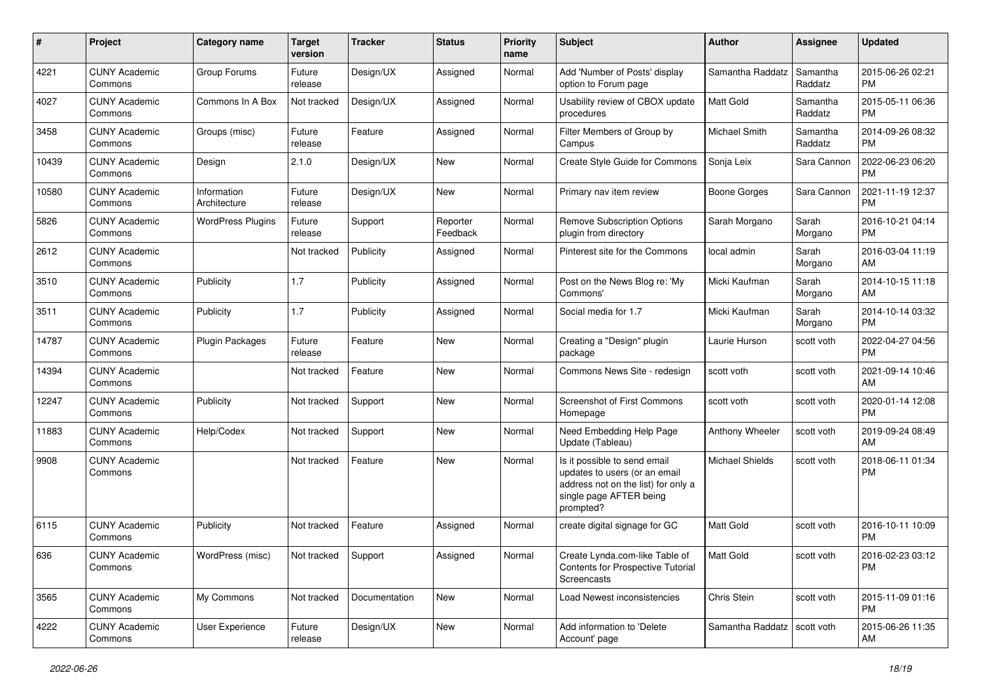| #     | Project                         | <b>Category name</b>        | <b>Target</b><br>version | <b>Tracker</b> | <b>Status</b>        | <b>Priority</b><br>name | <b>Subject</b>                                                                                                                               | <b>Author</b>          | Assignee            | <b>Updated</b>                |
|-------|---------------------------------|-----------------------------|--------------------------|----------------|----------------------|-------------------------|----------------------------------------------------------------------------------------------------------------------------------------------|------------------------|---------------------|-------------------------------|
| 4221  | <b>CUNY Academic</b><br>Commons | Group Forums                | Future<br>release        | Design/UX      | Assigned             | Normal                  | Add 'Number of Posts' display<br>option to Forum page                                                                                        | Samantha Raddatz       | Samantha<br>Raddatz | 2015-06-26 02:21<br><b>PM</b> |
| 4027  | <b>CUNY Academic</b><br>Commons | Commons In A Box            | Not tracked              | Design/UX      | Assigned             | Normal                  | Usability review of CBOX update<br>procedures                                                                                                | <b>Matt Gold</b>       | Samantha<br>Raddatz | 2015-05-11 06:36<br><b>PM</b> |
| 3458  | <b>CUNY Academic</b><br>Commons | Groups (misc)               | Future<br>release        | Feature        | Assigned             | Normal                  | Filter Members of Group by<br>Campus                                                                                                         | Michael Smith          | Samantha<br>Raddatz | 2014-09-26 08:32<br><b>PM</b> |
| 10439 | <b>CUNY Academic</b><br>Commons | Design                      | 2.1.0                    | Design/UX      | <b>New</b>           | Normal                  | Create Style Guide for Commons                                                                                                               | Sonja Leix             | Sara Cannon         | 2022-06-23 06:20<br><b>PM</b> |
| 10580 | <b>CUNY Academic</b><br>Commons | Information<br>Architecture | Future<br>release        | Design/UX      | New                  | Normal                  | Primary nav item review                                                                                                                      | <b>Boone Gorges</b>    | Sara Cannon         | 2021-11-19 12:37<br><b>PM</b> |
| 5826  | <b>CUNY Academic</b><br>Commons | <b>WordPress Plugins</b>    | Future<br>release        | Support        | Reporter<br>Feedback | Normal                  | <b>Remove Subscription Options</b><br>plugin from directory                                                                                  | Sarah Morgano          | Sarah<br>Morgano    | 2016-10-21 04:14<br><b>PM</b> |
| 2612  | <b>CUNY Academic</b><br>Commons |                             | Not tracked              | Publicity      | Assigned             | Normal                  | Pinterest site for the Commons                                                                                                               | local admin            | Sarah<br>Morgano    | 2016-03-04 11:19<br>AM        |
| 3510  | <b>CUNY Academic</b><br>Commons | Publicity                   | 1.7                      | Publicity      | Assigned             | Normal                  | Post on the News Blog re: 'My<br>Commons'                                                                                                    | Micki Kaufman          | Sarah<br>Morgano    | 2014-10-15 11:18<br>AM        |
| 3511  | <b>CUNY Academic</b><br>Commons | Publicity                   | 1.7                      | Publicity      | Assigned             | Normal                  | Social media for 1.7                                                                                                                         | Micki Kaufman          | Sarah<br>Morgano    | 2014-10-14 03:32<br><b>PM</b> |
| 14787 | <b>CUNY Academic</b><br>Commons | <b>Plugin Packages</b>      | Future<br>release        | Feature        | New                  | Normal                  | Creating a "Design" plugin<br>package                                                                                                        | Laurie Hurson          | scott voth          | 2022-04-27 04:56<br><b>PM</b> |
| 14394 | <b>CUNY Academic</b><br>Commons |                             | Not tracked              | Feature        | New                  | Normal                  | Commons News Site - redesign                                                                                                                 | scott voth             | scott voth          | 2021-09-14 10:46<br>AM        |
| 12247 | <b>CUNY Academic</b><br>Commons | Publicity                   | Not tracked              | Support        | New                  | Normal                  | <b>Screenshot of First Commons</b><br>Homepage                                                                                               | scott voth             | scott voth          | 2020-01-14 12:08<br><b>PM</b> |
| 11883 | <b>CUNY Academic</b><br>Commons | Help/Codex                  | Not tracked              | Support        | New                  | Normal                  | Need Embedding Help Page<br>Update (Tableau)                                                                                                 | Anthony Wheeler        | scott voth          | 2019-09-24 08:49<br>AM        |
| 9908  | <b>CUNY Academic</b><br>Commons |                             | Not tracked              | Feature        | New                  | Normal                  | Is it possible to send email<br>updates to users (or an email<br>address not on the list) for only a<br>single page AFTER being<br>prompted? | <b>Michael Shields</b> | scott voth          | 2018-06-11 01:34<br><b>PM</b> |
| 6115  | <b>CUNY Academic</b><br>Commons | Publicity                   | Not tracked              | Feature        | Assigned             | Normal                  | create digital signage for GC                                                                                                                | Matt Gold              | scott voth          | 2016-10-11 10:09<br><b>PM</b> |
| 636   | <b>CUNY Academic</b><br>Commons | WordPress (misc)            | Not tracked Support      |                | Assigned             | Normal                  | Create Lynda.com-like Table of<br><b>Contents for Prospective Tutorial</b><br>Screencasts                                                    | Matt Gold              | scott voth          | 2016-02-23 03:12<br><b>PM</b> |
| 3565  | <b>CUNY Academic</b><br>Commons | My Commons                  | Not tracked              | Documentation  | New                  | Normal                  | Load Newest inconsistencies                                                                                                                  | Chris Stein            | scott voth          | 2015-11-09 01:16<br><b>PM</b> |
| 4222  | <b>CUNY Academic</b><br>Commons | User Experience             | Future<br>release        | Design/UX      | New                  | Normal                  | Add information to 'Delete<br>Account' page                                                                                                  | Samantha Raddatz       | scott voth          | 2015-06-26 11:35<br>AM        |